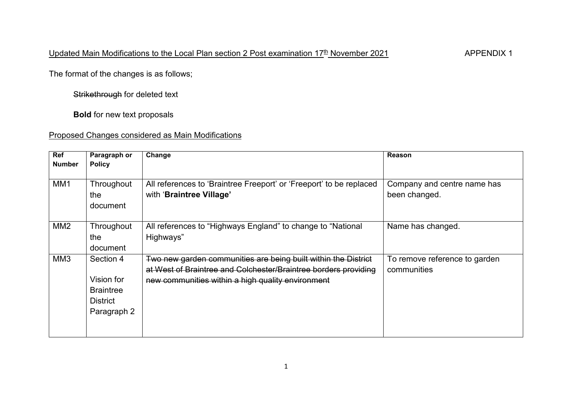The format of the changes is as follows;

Strikethrough for deleted text

**Bold** for new text proposals

## Proposed Changes considered as Main Modifications

| Ref<br><b>Number</b> | Paragraph or<br><b>Policy</b>                                                 | Change                                                                                                                                                                                 | Reason                                       |
|----------------------|-------------------------------------------------------------------------------|----------------------------------------------------------------------------------------------------------------------------------------------------------------------------------------|----------------------------------------------|
| MM <sub>1</sub>      | Throughout<br>the<br>document                                                 | All references to 'Braintree Freeport' or 'Freeport' to be replaced<br>with 'Braintree Village'                                                                                        | Company and centre name has<br>been changed. |
| MM <sub>2</sub>      | Throughout<br>the<br>document                                                 | All references to "Highways England" to change to "National<br>Highways"                                                                                                               | Name has changed.                            |
| MM <sub>3</sub>      | Section 4<br>Vision for<br><b>Braintree</b><br><b>District</b><br>Paragraph 2 | Two new garden communities are being built within the District<br>at West of Braintree and Colchester/Braintree borders providing<br>new communities within a high quality environment | To remove reference to garden<br>communities |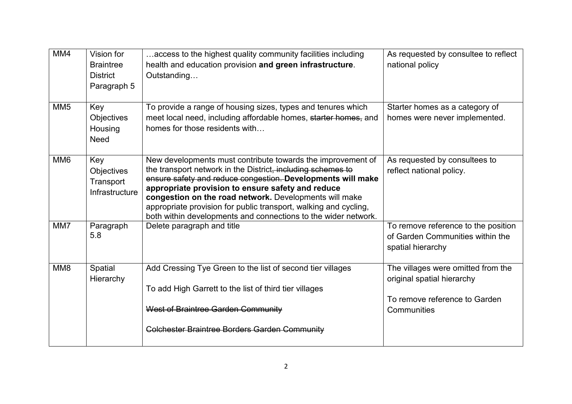| MM4             | Vision for<br><b>Braintree</b><br><b>District</b><br>Paragraph 5 | access to the highest quality community facilities including<br>health and education provision and green infrastructure.<br>Outstanding                                                                                                                                                                                                                                                                                                        | As requested by consultee to reflect<br>national policy                                                          |
|-----------------|------------------------------------------------------------------|------------------------------------------------------------------------------------------------------------------------------------------------------------------------------------------------------------------------------------------------------------------------------------------------------------------------------------------------------------------------------------------------------------------------------------------------|------------------------------------------------------------------------------------------------------------------|
| MM <sub>5</sub> | Key<br><b>Objectives</b><br>Housing<br><b>Need</b>               | To provide a range of housing sizes, types and tenures which<br>meet local need, including affordable homes, starter homes, and<br>homes for those residents with                                                                                                                                                                                                                                                                              | Starter homes as a category of<br>homes were never implemented.                                                  |
| MM <sub>6</sub> | Key<br>Objectives<br>Transport<br>Infrastructure                 | New developments must contribute towards the improvement of<br>the transport network in the District, including schemes to<br>ensure safety and reduce congestion. Developments will make<br>appropriate provision to ensure safety and reduce<br>congestion on the road network. Developments will make<br>appropriate provision for public transport, walking and cycling,<br>both within developments and connections to the wider network. | As requested by consultees to<br>reflect national policy.                                                        |
| MM7             | Paragraph<br>5.8                                                 | Delete paragraph and title                                                                                                                                                                                                                                                                                                                                                                                                                     | To remove reference to the position<br>of Garden Communities within the<br>spatial hierarchy                     |
| MM <sub>8</sub> | Spatial<br>Hierarchy                                             | Add Cressing Tye Green to the list of second tier villages<br>To add High Garrett to the list of third tier villages<br>West of Braintree Garden Community<br><b>Colchester Braintree Borders Garden Community</b>                                                                                                                                                                                                                             | The villages were omitted from the<br>original spatial hierarchy<br>To remove reference to Garden<br>Communities |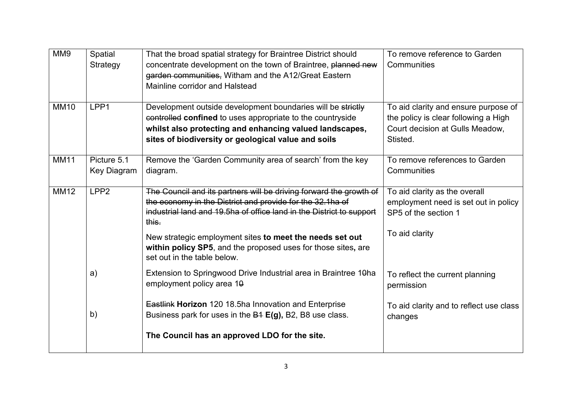| MM9         | Spatial<br>Strategy        | That the broad spatial strategy for Braintree District should<br>concentrate development on the town of Braintree, planned new<br>garden communities, Witham and the A12/Great Eastern<br>Mainline corridor and Halstead                    | To remove reference to Garden<br>Communities                                                                                |
|-------------|----------------------------|---------------------------------------------------------------------------------------------------------------------------------------------------------------------------------------------------------------------------------------------|-----------------------------------------------------------------------------------------------------------------------------|
| <b>MM10</b> | LPP1                       | Development outside development boundaries will be strictly<br>controlled confined to uses appropriate to the countryside<br>whilst also protecting and enhancing valued landscapes,<br>sites of biodiversity or geological value and soils | To aid clarity and ensure purpose of<br>the policy is clear following a High<br>Court decision at Gulls Meadow,<br>Stisted. |
| <b>MM11</b> | Picture 5.1<br>Key Diagram | Remove the 'Garden Community area of search' from the key<br>diagram.                                                                                                                                                                       | To remove references to Garden<br>Communities                                                                               |
| <b>MM12</b> | LPP <sub>2</sub>           | The Council and its partners will be driving forward the growth of<br>the economy in the District and provide for the 32.1ha of<br>industrial land and 19.5ha of office land in the District to support<br>this.                            | $\overline{To}$ aid clarity as the overall<br>employment need is set out in policy<br>SP5 of the section 1                  |
|             |                            | New strategic employment sites to meet the needs set out<br>within policy SP5, and the proposed uses for those sites, are<br>set out in the table below.                                                                                    | To aid clarity                                                                                                              |
|             | a)                         | Extension to Springwood Drive Industrial area in Braintree 10ha<br>employment policy area 10                                                                                                                                                | To reflect the current planning<br>permission                                                                               |
|             | b)                         | <b>Eastlink Horizon</b> 120 18.5ha Innovation and Enterprise<br>Business park for uses in the B4 E(g), B2, B8 use class.                                                                                                                    | To aid clarity and to reflect use class<br>changes                                                                          |
|             |                            | The Council has an approved LDO for the site.                                                                                                                                                                                               |                                                                                                                             |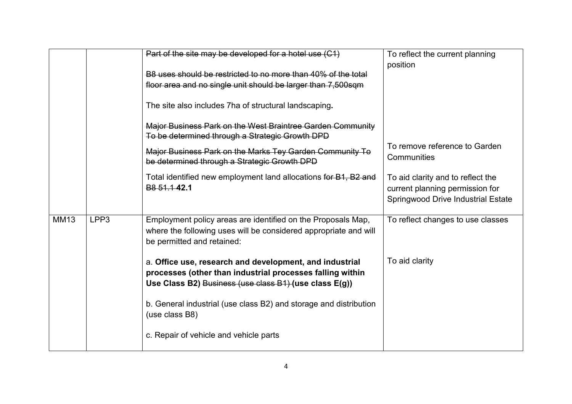|             |      | Part of the site may be developed for a hotel use (C1)                                                                                                                         | To reflect the current planning<br>position                                                                |
|-------------|------|--------------------------------------------------------------------------------------------------------------------------------------------------------------------------------|------------------------------------------------------------------------------------------------------------|
|             |      | B8 uses should be restricted to no more than 40% of the total                                                                                                                  |                                                                                                            |
|             |      | floor area and no single unit should be larger than 7,500sqm                                                                                                                   |                                                                                                            |
|             |      | The site also includes 7ha of structural landscaping.                                                                                                                          |                                                                                                            |
|             |      | Major Business Park on the West Braintree Garden Community<br>To be determined through a Strategic Growth DPD                                                                  |                                                                                                            |
|             |      |                                                                                                                                                                                | To remove reference to Garden                                                                              |
|             |      | Major Business Park on the Marks Tey Garden Community To<br>be determined through a Strategic Growth DPD                                                                       | Communities                                                                                                |
|             |      | Total identified new employment land allocations for B1, B2 and<br>B <sub>8</sub> 51.1 42.1                                                                                    | To aid clarity and to reflect the<br>current planning permission for<br>Springwood Drive Industrial Estate |
| <b>MM13</b> | LPP3 | Employment policy areas are identified on the Proposals Map,<br>where the following uses will be considered appropriate and will<br>be permitted and retained:                 | To reflect changes to use classes                                                                          |
|             |      | a. Office use, research and development, and industrial<br>processes (other than industrial processes falling within<br>Use Class B2) Business (use class B1) (use class E(g)) | To aid clarity                                                                                             |
|             |      | b. General industrial (use class B2) and storage and distribution<br>(use class B8)                                                                                            |                                                                                                            |
|             |      | c. Repair of vehicle and vehicle parts                                                                                                                                         |                                                                                                            |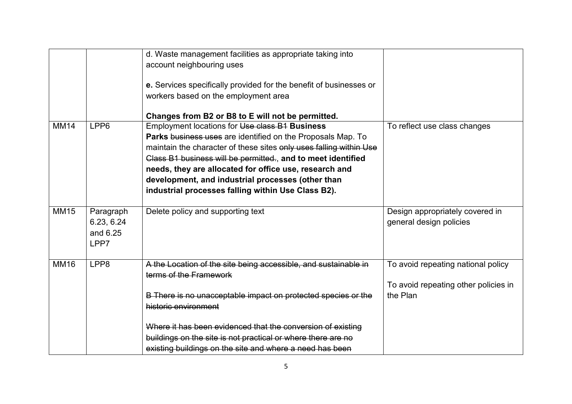|             |                                             | d. Waste management facilities as appropriate taking into<br>account neighbouring uses<br>e. Services specifically provided for the benefit of businesses or<br>workers based on the employment area                                                                                                                                                                                                                     |                                                                                        |
|-------------|---------------------------------------------|--------------------------------------------------------------------------------------------------------------------------------------------------------------------------------------------------------------------------------------------------------------------------------------------------------------------------------------------------------------------------------------------------------------------------|----------------------------------------------------------------------------------------|
|             |                                             | Changes from B2 or B8 to E will not be permitted.                                                                                                                                                                                                                                                                                                                                                                        |                                                                                        |
| <b>MM14</b> | LPP6                                        | Employment locations for Use class B1 Business<br>Parks business uses are identified on the Proposals Map. To<br>maintain the character of these sites only uses falling within Use<br>Class B1 business will be permitted., and to meet identified<br>needs, they are allocated for office use, research and<br>development, and industrial processes (other than<br>industrial processes falling within Use Class B2). | To reflect use class changes                                                           |
| <b>MM15</b> | Paragraph<br>6.23, 6.24<br>and 6.25<br>LPP7 | Delete policy and supporting text                                                                                                                                                                                                                                                                                                                                                                                        | Design appropriately covered in<br>general design policies                             |
| <b>MM16</b> | LPP8                                        | A the Location of the site being accessible, and sustainable in<br>terms of the Framework<br>B There is no unacceptable impact on protected species or the<br>historic environment<br>Where it has been evidenced that the conversion of existing<br>buildings on the site is not practical or where there are no<br>existing buildings on the site and where a need has been                                            | To avoid repeating national policy<br>To avoid repeating other policies in<br>the Plan |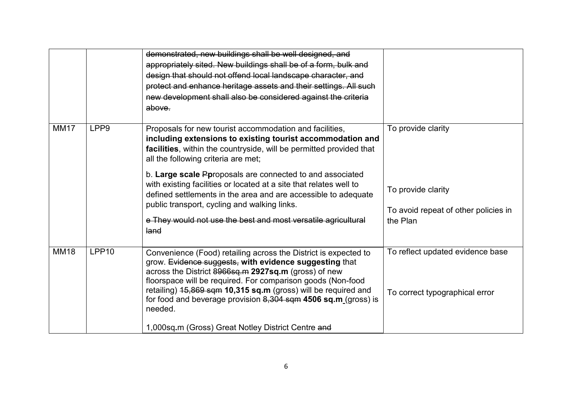|             |                   | demonstrated, new buildings shall be well designed, and<br>appropriately sited. New buildings shall be of a form, bulk and<br>design that should not offend local landscape character, and<br>protect and enhance heritage assets and their settings. All such<br>new development shall also be considered against the criteria<br>above.                                                                                                                                                                                                                         |                                                                                              |
|-------------|-------------------|-------------------------------------------------------------------------------------------------------------------------------------------------------------------------------------------------------------------------------------------------------------------------------------------------------------------------------------------------------------------------------------------------------------------------------------------------------------------------------------------------------------------------------------------------------------------|----------------------------------------------------------------------------------------------|
| <b>MM17</b> | LPP <sub>9</sub>  | Proposals for new tourist accommodation and facilities,<br>including extensions to existing tourist accommodation and<br>facilities, within the countryside, will be permitted provided that<br>all the following criteria are met;<br>b. Large scale Pproposals are connected to and associated<br>with existing facilities or located at a site that relates well to<br>defined settlements in the area and are accessible to adequate<br>public transport, cycling and walking links.<br>e They would not use the best and most versatile agricultural<br>land | To provide clarity<br>To provide clarity<br>To avoid repeat of other policies in<br>the Plan |
| <b>MM18</b> | LPP <sub>10</sub> | Convenience (Food) retailing across the District is expected to<br>grow. Evidence suggests, with evidence suggesting that<br>across the District 8966sq.m 2927sq.m (gross) of new<br>floorspace will be required. For comparison goods (Non-food<br>retailing) 15,869 sqm 10,315 sq.m (gross) will be required and<br>for food and beverage provision $8,304$ sqm 4506 sq.m (gross) is<br>needed.<br>1,000sq.m (Gross) Great Notley District Centre and                                                                                                           | To reflect updated evidence base<br>To correct typographical error                           |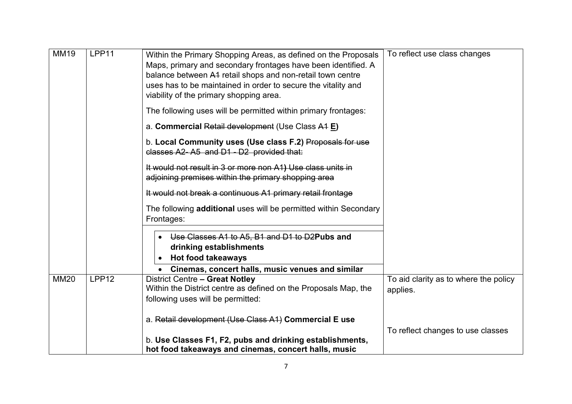| <b>MM19</b> | LPP11             | Within the Primary Shopping Areas, as defined on the Proposals<br>Maps, primary and secondary frontages have been identified. A<br>balance between A4 retail shops and non-retail town centre<br>uses has to be maintained in order to secure the vitality and<br>viability of the primary shopping area. | To reflect use class changes                      |
|-------------|-------------------|-----------------------------------------------------------------------------------------------------------------------------------------------------------------------------------------------------------------------------------------------------------------------------------------------------------|---------------------------------------------------|
|             |                   | The following uses will be permitted within primary frontages:                                                                                                                                                                                                                                            |                                                   |
|             |                   | a. Commercial Retail development (Use Class A1 E)                                                                                                                                                                                                                                                         |                                                   |
|             |                   | b. Local Community uses (Use class F.2) Proposals for use<br>classes A2-A5 and D1 - D2 provided that:                                                                                                                                                                                                     |                                                   |
|             |                   | It would not result in 3 or more non A1) Use class units in<br>adjoining premises within the primary shopping area                                                                                                                                                                                        |                                                   |
|             |                   | It would not break a continuous A1 primary retail frontage                                                                                                                                                                                                                                                |                                                   |
|             |                   | The following <b>additional</b> uses will be permitted within Secondary<br>Frontages:                                                                                                                                                                                                                     |                                                   |
|             |                   | Use Classes A1 to A5, B1 and D1 to D2Pubs and<br>$\bullet$<br>drinking establishments                                                                                                                                                                                                                     |                                                   |
|             |                   | <b>Hot food takeaways</b>                                                                                                                                                                                                                                                                                 |                                                   |
| <b>MM20</b> | LPP <sub>12</sub> | Cinemas, concert halls, music venues and similar<br>District Centre - Great Notley<br>Within the District centre as defined on the Proposals Map, the<br>following uses will be permitted:                                                                                                                | To aid clarity as to where the policy<br>applies. |
|             |                   | a. Retail development (Use Class A1) Commercial E use                                                                                                                                                                                                                                                     | To reflect changes to use classes                 |
|             |                   | b. Use Classes F1, F2, pubs and drinking establishments,<br>hot food takeaways and cinemas, concert halls, music                                                                                                                                                                                          |                                                   |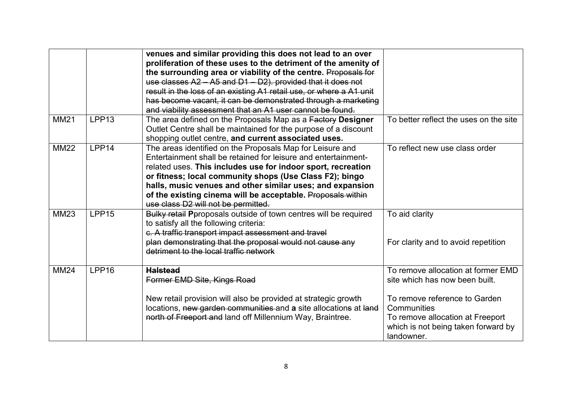|             |                   | venues and similar providing this does not lead to an over<br>proliferation of these uses to the detriment of the amenity of<br>the surrounding area or viability of the centre. Proposals for<br>use classes A2 - A5 and D1 - D2). provided that it does not<br>result in the loss of an existing A1 retail use, or where a A1 unit<br>has become vacant, it can be demonstrated through a marketing<br>and viability assessment that an A1 user cannot be found. |                                                                                                                                                                                                               |
|-------------|-------------------|--------------------------------------------------------------------------------------------------------------------------------------------------------------------------------------------------------------------------------------------------------------------------------------------------------------------------------------------------------------------------------------------------------------------------------------------------------------------|---------------------------------------------------------------------------------------------------------------------------------------------------------------------------------------------------------------|
| <b>MM21</b> | LPP <sub>13</sub> | The area defined on the Proposals Map as a Factory Designer<br>Outlet Centre shall be maintained for the purpose of a discount<br>shopping outlet centre, and current associated uses.                                                                                                                                                                                                                                                                             | To better reflect the uses on the site                                                                                                                                                                        |
| <b>MM22</b> | LPP14             | The areas identified on the Proposals Map for Leisure and<br>Entertainment shall be retained for leisure and entertainment-<br>related uses. This includes use for indoor sport, recreation<br>or fitness; local community shops (Use Class F2); bingo<br>halls, music venues and other similar uses; and expansion<br>of the existing cinema will be acceptable. Proposals within<br>use class D2 will not be permitted.                                          | To reflect new use class order                                                                                                                                                                                |
| <b>MM23</b> | LPP15             | Bulky retail Pproposals outside of town centres will be required<br>to satisfy all the following criteria:<br>c. A traffic transport impact assessment and travel<br>plan demonstrating that the proposal would not cause any<br>detriment to the local traffic network                                                                                                                                                                                            | To aid clarity<br>For clarity and to avoid repetition                                                                                                                                                         |
| <b>MM24</b> | LPP16             | <b>Halstead</b><br>Former EMD Site, Kings Road<br>New retail provision will also be provided at strategic growth<br>locations, new garden communities and a site allocations at land<br>north of Freeport and land off Millennium Way, Braintree.                                                                                                                                                                                                                  | To remove allocation at former EMD<br>site which has now been built.<br>To remove reference to Garden<br>Communities<br>To remove allocation at Freeport<br>which is not being taken forward by<br>landowner. |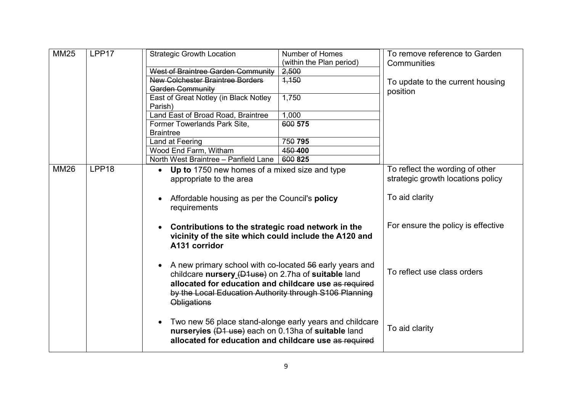| <b>MM25</b> | LPP17             | <b>Strategic Growth Location</b>                                     | <b>Number of Homes</b><br>(within the Plan period) | To remove reference to Garden<br>Communities |
|-------------|-------------------|----------------------------------------------------------------------|----------------------------------------------------|----------------------------------------------|
|             |                   | West of Braintree Garden Community                                   | 2,500                                              |                                              |
|             |                   | <b>New Colchester Braintree Borders</b>                              | 4,150                                              | To update to the current housing             |
|             |                   | Garden Community                                                     |                                                    | position                                     |
|             |                   | East of Great Notley (in Black Notley                                | 1,750                                              |                                              |
|             |                   | Parish)                                                              |                                                    |                                              |
|             |                   | Land East of Broad Road, Braintree                                   | 1,000                                              |                                              |
|             |                   | Former Towerlands Park Site,                                         | 600 575                                            |                                              |
|             |                   | <b>Braintree</b>                                                     |                                                    |                                              |
|             |                   | Land at Feering                                                      | 750 795                                            |                                              |
|             |                   | Wood End Farm, Witham                                                | 450 400                                            |                                              |
|             |                   | North West Braintree - Panfield Lane                                 | 600 825                                            |                                              |
| <b>MM26</b> | LPP <sub>18</sub> | • Up to 1750 new homes of a mixed size and type                      |                                                    | To reflect the wording of other              |
|             |                   | appropriate to the area                                              |                                                    | strategic growth locations policy            |
|             |                   |                                                                      |                                                    |                                              |
|             |                   | Affordable housing as per the Council's policy<br>$\bullet$          | To aid clarity                                     |                                              |
|             |                   | requirements                                                         |                                                    |                                              |
|             |                   |                                                                      |                                                    |                                              |
|             |                   | Contributions to the strategic road network in the<br>$\bullet$      |                                                    | For ensure the policy is effective           |
|             |                   | vicinity of the site which could include the A120 and                |                                                    |                                              |
|             |                   | A131 corridor                                                        |                                                    |                                              |
|             |                   |                                                                      |                                                    |                                              |
|             |                   | A new primary school with co-located 56 early years and              |                                                    |                                              |
|             |                   | $\bullet$                                                            |                                                    | To reflect use class orders                  |
|             |                   | childcare nursery (D1use) on 2.7ha of suitable land                  |                                                    |                                              |
|             |                   | allocated for education and childcare use as required                |                                                    |                                              |
|             |                   | by the Local Education Authority through S106 Planning               |                                                    |                                              |
|             |                   | <b>Obligations</b>                                                   |                                                    |                                              |
|             |                   |                                                                      |                                                    |                                              |
|             |                   | Two new 56 place stand-alonge early years and childcare<br>$\bullet$ |                                                    |                                              |
|             |                   | nurseryies (D1 use) each on 0.13ha of suitable land                  |                                                    | To aid clarity                               |
|             |                   | allocated for education and childcare use as required                |                                                    |                                              |
|             |                   |                                                                      |                                                    |                                              |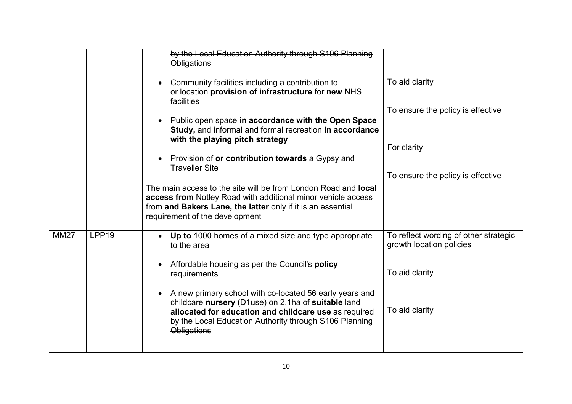|             |                   | by the Local Education Authority through S106 Planning<br><b>Obligations</b>                                                                                                                                                                                         |                                                                   |
|-------------|-------------------|----------------------------------------------------------------------------------------------------------------------------------------------------------------------------------------------------------------------------------------------------------------------|-------------------------------------------------------------------|
|             |                   | Community facilities including a contribution to<br>$\bullet$<br>or location-provision of infrastructure for new NHS<br>facilities                                                                                                                                   | To aid clarity                                                    |
|             |                   |                                                                                                                                                                                                                                                                      | To ensure the policy is effective                                 |
|             |                   | Public open space in accordance with the Open Space<br>$\bullet$<br>Study, and informal and formal recreation in accordance<br>with the playing pitch strategy                                                                                                       |                                                                   |
|             |                   |                                                                                                                                                                                                                                                                      | For clarity                                                       |
|             |                   | Provision of or contribution towards a Gypsy and<br>$\bullet$<br><b>Traveller Site</b>                                                                                                                                                                               |                                                                   |
|             |                   |                                                                                                                                                                                                                                                                      | To ensure the policy is effective                                 |
|             |                   | The main access to the site will be from London Road and <b>local</b><br>access from Notley Road with additional minor vehicle access<br>from and Bakers Lane, the latter only if it is an essential<br>requirement of the development                               |                                                                   |
| <b>MM27</b> | LPP <sub>19</sub> | Up to 1000 homes of a mixed size and type appropriate<br>$\bullet$<br>to the area                                                                                                                                                                                    | To reflect wording of other strategic<br>growth location policies |
|             |                   | Affordable housing as per the Council's policy<br>$\bullet$<br>requirements                                                                                                                                                                                          | To aid clarity                                                    |
|             |                   | A new primary school with co-located 56 early years and<br>$\bullet$<br>childcare nursery (D1use) on 2.1ha of suitable land<br>allocated for education and childcare use as required<br>by the Local Education Authority through S106 Planning<br><b>Obligations</b> | To aid clarity                                                    |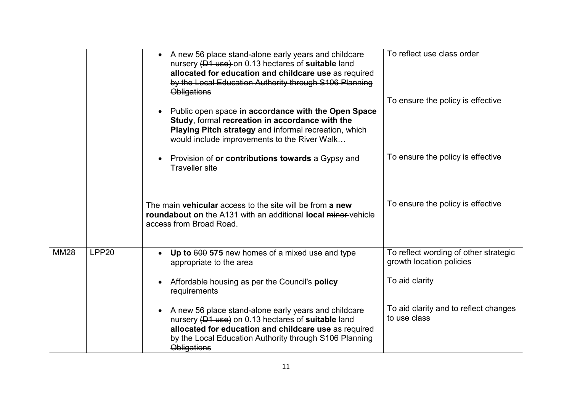|             |                   | A new 56 place stand-alone early years and childcare<br>nursery (D1 use) on 0.13 hectares of suitable land<br>allocated for education and childcare use as required<br>by the Local Education Authority through S106 Planning<br><b>Obligations</b>              | To reflect use class order<br>To ensure the policy is effective   |
|-------------|-------------------|------------------------------------------------------------------------------------------------------------------------------------------------------------------------------------------------------------------------------------------------------------------|-------------------------------------------------------------------|
|             |                   | Public open space in accordance with the Open Space<br>$\bullet$<br>Study, formal recreation in accordance with the<br>Playing Pitch strategy and informal recreation, which<br>would include improvements to the River Walk                                     |                                                                   |
|             |                   | Provision of or contributions towards a Gypsy and<br>$\bullet$<br><b>Traveller</b> site                                                                                                                                                                          | To ensure the policy is effective                                 |
|             |                   | The main vehicular access to the site will be from a new<br><b>roundabout on</b> the A131 with an additional <b>local</b> minor-vehicle<br>access from Broad Road.                                                                                               | To ensure the policy is effective                                 |
| <b>MM28</b> | LPP <sub>20</sub> | Up to 600 575 new homes of a mixed use and type<br>$\bullet$<br>appropriate to the area                                                                                                                                                                          | To reflect wording of other strategic<br>growth location policies |
|             |                   | Affordable housing as per the Council's policy<br>$\bullet$<br>requirements                                                                                                                                                                                      | To aid clarity                                                    |
|             |                   | A new 56 place stand-alone early years and childcare<br>$\bullet$<br>nursery (D1 use) on 0.13 hectares of suitable land<br>allocated for education and childcare use as required<br>by the Local Education Authority through S106 Planning<br><b>Obligations</b> | To aid clarity and to reflect changes<br>to use class             |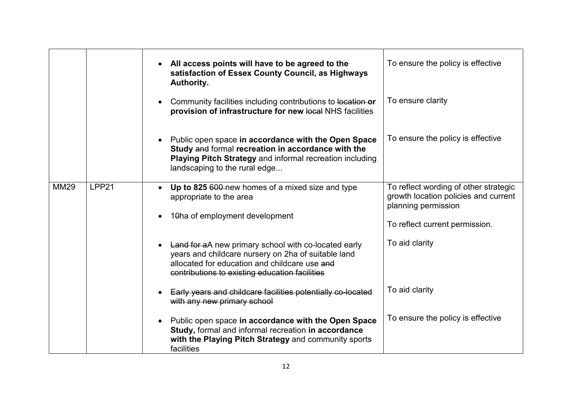|             |       | All access points will have to be agreed to the<br>satisfaction of Essex County Council, as Highways<br>Authority.                                                                                                  | To ensure the policy is effective                                                                    |
|-------------|-------|---------------------------------------------------------------------------------------------------------------------------------------------------------------------------------------------------------------------|------------------------------------------------------------------------------------------------------|
|             |       | Community facilities including contributions to location or<br>$\bullet$<br>provision of infrastructure for new local NHS facilities                                                                                | To ensure clarity                                                                                    |
|             |       | Public open space in accordance with the Open Space<br>$\bullet$<br>Study and formal recreation in accordance with the<br>Playing Pitch Strategy and informal recreation including<br>landscaping to the rural edge | To ensure the policy is effective                                                                    |
| <b>MM29</b> | LPP21 | Up to 825 600-new homes of a mixed size and type<br>$\bullet$<br>appropriate to the area                                                                                                                            | To reflect wording of other strategic<br>growth location policies and current<br>planning permission |
|             |       | 10ha of employment development<br>$\bullet$                                                                                                                                                                         | To reflect current permission.                                                                       |
|             |       | • Land for aA new primary school with co-located early<br>years and childcare nursery on 2ha of suitable land<br>allocated for education and childcare use and<br>contributions to existing education facilities    | To aid clarity                                                                                       |
|             |       | Early years and childcare facilities potentially co-located<br>with any new primary school                                                                                                                          | To aid clarity                                                                                       |
|             |       | Public open space in accordance with the Open Space<br>$\bullet$<br>Study, formal and informal recreation in accordance<br>with the Playing Pitch Strategy and community sports<br>facilities                       | To ensure the policy is effective                                                                    |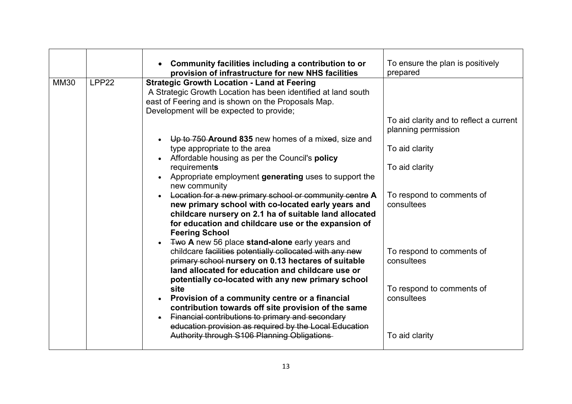|             |       | Community facilities including a contribution to or<br>provision of infrastructure for new NHS facilities                                                                                                                                                                                                                                                                                                                                                                                                                                                                                                                                                                                                                                                                                                                                                                                                                                                                                                                                                                                                                                                                                                                                                                                                                             | To ensure the plan is positively<br>prepared                                                                                                                                                                                                          |
|-------------|-------|---------------------------------------------------------------------------------------------------------------------------------------------------------------------------------------------------------------------------------------------------------------------------------------------------------------------------------------------------------------------------------------------------------------------------------------------------------------------------------------------------------------------------------------------------------------------------------------------------------------------------------------------------------------------------------------------------------------------------------------------------------------------------------------------------------------------------------------------------------------------------------------------------------------------------------------------------------------------------------------------------------------------------------------------------------------------------------------------------------------------------------------------------------------------------------------------------------------------------------------------------------------------------------------------------------------------------------------|-------------------------------------------------------------------------------------------------------------------------------------------------------------------------------------------------------------------------------------------------------|
| <b>MM30</b> | LPP22 | <b>Strategic Growth Location - Land at Feering</b><br>A Strategic Growth Location has been identified at land south<br>east of Feering and is shown on the Proposals Map.<br>Development will be expected to provide;<br>Up to 750 Around 835 new homes of a mixed, size and<br>$\bullet$<br>type appropriate to the area<br>Affordable housing as per the Council's policy<br>$\bullet$<br>requirements<br>Appropriate employment generating uses to support the<br>new community<br>Location for a new primary school or community centre A<br>new primary school with co-located early years and<br>childcare nursery on 2.1 ha of suitable land allocated<br>for education and childcare use or the expansion of<br><b>Feering School</b><br>Two A new 56 place stand-alone early years and<br>childcare facilities potentially collocated with any new<br>primary school nursery on 0.13 hectares of suitable<br>land allocated for education and childcare use or<br>potentially co-located with any new primary school<br>site<br>Provision of a community centre or a financial<br>$\bullet$<br>contribution towards off site provision of the same<br>Financial contributions to primary and secondary<br>$\bullet$<br>education provision as required by the Local Education<br>Authority through S106 Planning Obligations | To aid clarity and to reflect a current<br>planning permission<br>To aid clarity<br>To aid clarity<br>To respond to comments of<br>consultees<br>To respond to comments of<br>consultees<br>To respond to comments of<br>consultees<br>To aid clarity |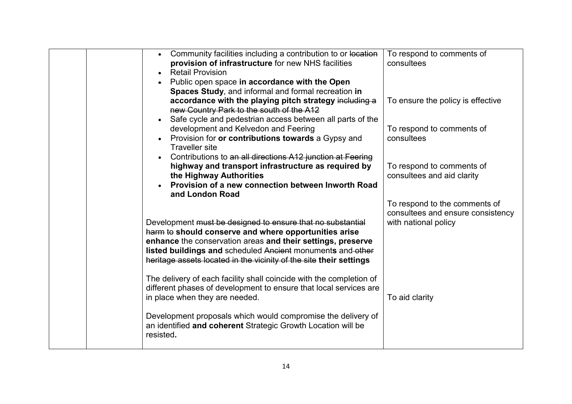|  | Community facilities including a contribution to or location<br>$\bullet$ | To respond to comments of         |
|--|---------------------------------------------------------------------------|-----------------------------------|
|  | provision of infrastructure for new NHS facilities                        | consultees                        |
|  | <b>Retail Provision</b><br>$\bullet$                                      |                                   |
|  | • Public open space in accordance with the Open                           |                                   |
|  | Spaces Study, and informal and formal recreation in                       |                                   |
|  | accordance with the playing pitch strategy including a                    | To ensure the policy is effective |
|  | new Country Park to the south of the A12                                  |                                   |
|  | Safe cycle and pedestrian access between all parts of the                 |                                   |
|  | development and Kelvedon and Feering                                      | To respond to comments of         |
|  | Provision for or contributions towards a Gypsy and                        | consultees                        |
|  | <b>Traveller</b> site                                                     |                                   |
|  | Contributions to an all directions A12 junction at Feering<br>$\bullet$   |                                   |
|  | highway and transport infrastructure as required by                       | To respond to comments of         |
|  | the Highway Authorities                                                   | consultees and aid clarity        |
|  | Provision of a new connection between Inworth Road<br>$\bullet$           |                                   |
|  | and London Road                                                           |                                   |
|  |                                                                           | To respond to the comments of     |
|  |                                                                           | consultees and ensure consistency |
|  | Development must be designed to ensure that no substantial                | with national policy              |
|  | harm to should conserve and where opportunities arise                     |                                   |
|  | enhance the conservation areas and their settings, preserve               |                                   |
|  | listed buildings and scheduled Ancient monuments and other                |                                   |
|  | heritage assets located in the vicinity of the site their settings        |                                   |
|  |                                                                           |                                   |
|  | The delivery of each facility shall coincide with the completion of       |                                   |
|  | different phases of development to ensure that local services are         |                                   |
|  | in place when they are needed.                                            | To aid clarity                    |
|  | Development proposals which would compromise the delivery of              |                                   |
|  | an identified and coherent Strategic Growth Location will be              |                                   |
|  |                                                                           |                                   |
|  |                                                                           |                                   |
|  | resisted.                                                                 |                                   |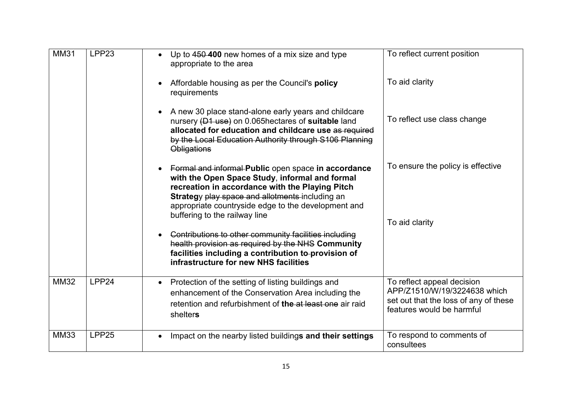| <b>MM31</b> | LPP23 | Up to 450 400 new homes of a mix size and type<br>appropriate to the area<br>Affordable housing as per the Council's policy<br>$\bullet$<br>requirements                                                                                                                                                                                                                                                                                                                                                          | To reflect current position<br>To aid clarity                                                                                    |
|-------------|-------|-------------------------------------------------------------------------------------------------------------------------------------------------------------------------------------------------------------------------------------------------------------------------------------------------------------------------------------------------------------------------------------------------------------------------------------------------------------------------------------------------------------------|----------------------------------------------------------------------------------------------------------------------------------|
|             |       | A new 30 place stand-alone early years and childcare<br>nursery (D1 use) on 0.065 hectares of suitable land<br>allocated for education and childcare use as required<br>by the Local Education Authority through S106 Planning<br><b>Obligations</b>                                                                                                                                                                                                                                                              | To reflect use class change                                                                                                      |
|             |       | Formal and informal Public open space in accordance<br>with the Open Space Study, informal and formal<br>recreation in accordance with the Playing Pitch<br>Strategy play space and allotments including an<br>appropriate countryside edge to the development and<br>buffering to the railway line<br>Contributions to other community facilities including<br>health provision as required by the NHS Community<br>facilities including a contribution to-provision of<br>infrastructure for new NHS facilities | To ensure the policy is effective<br>To aid clarity                                                                              |
| <b>MM32</b> | LPP24 | • Protection of the setting of listing buildings and<br>enhancement of the Conservation Area including the<br>retention and refurbishment of the at least one air raid<br>shelters                                                                                                                                                                                                                                                                                                                                | To reflect appeal decision<br>APP/Z1510/W/19/3224638 which<br>set out that the loss of any of these<br>features would be harmful |
| <b>MM33</b> | LPP25 | Impact on the nearby listed buildings and their settings<br>$\bullet$                                                                                                                                                                                                                                                                                                                                                                                                                                             | To respond to comments of<br>consultees                                                                                          |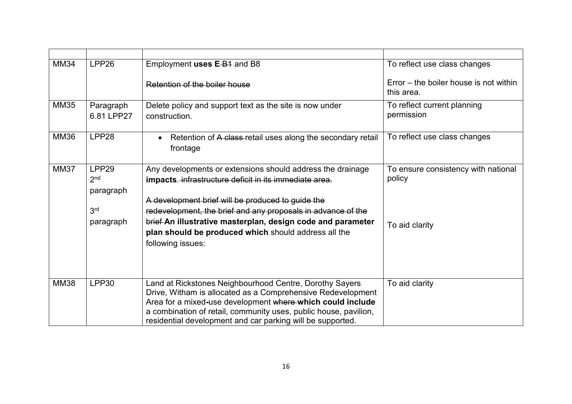| <b>MM34</b> | LPP26                                                                 | Employment uses E-B <sub>1</sub> and B8                                                                                                                                                                                                                                                                                                                                               | To reflect use class changes                                    |
|-------------|-----------------------------------------------------------------------|---------------------------------------------------------------------------------------------------------------------------------------------------------------------------------------------------------------------------------------------------------------------------------------------------------------------------------------------------------------------------------------|-----------------------------------------------------------------|
|             |                                                                       | Retention of the boiler house                                                                                                                                                                                                                                                                                                                                                         | Error – the boiler house is not within<br>this area.            |
| <b>MM35</b> | Paragraph<br>6.81 LPP27                                               | Delete policy and support text as the site is now under<br>construction.                                                                                                                                                                                                                                                                                                              | To reflect current planning<br>permission                       |
| <b>MM36</b> | LPP28                                                                 | Retention of A class-retail uses along the secondary retail<br>$\bullet$<br>frontage                                                                                                                                                                                                                                                                                                  | To reflect use class changes                                    |
| <b>MM37</b> | LPP29<br>2 <sub>nd</sub><br>paragraph<br>3 <sup>rd</sup><br>paragraph | Any developments or extensions should address the drainage<br>impacts. infrastructure deficit in its immediate area.<br>A development brief will be produced to guide the<br>redevelopment, the brief and any proposals in advance of the<br>brief-An illustrative masterplan, design code and parameter<br>plan should be produced which should address all the<br>following issues: | To ensure consistency with national<br>policy<br>To aid clarity |
| <b>MM38</b> | LPP30                                                                 | Land at Rickstones Neighbourhood Centre, Dorothy Sayers<br>Drive, Witham is allocated as a Comprehensive Redevelopment<br>Area for a mixed-use development where which could include<br>a combination of retail, community uses, public house, pavilion,<br>residential development and car parking will be supported.                                                                | To aid clarity                                                  |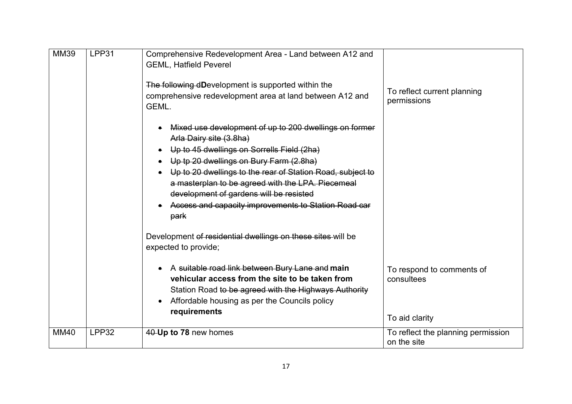| <b>MM39</b> | LPP31 | Comprehensive Redevelopment Area - Land between A12 and<br><b>GEML, Hatfield Peverel</b><br>The following dDevelopment is supported within the<br>comprehensive redevelopment area at land between A12 and<br>GEML.<br>• Mixed use development of up to 200 dwellings on former<br>Arla Dairy site (3.8ha)<br>Up to 45 dwellings on Sorrells Field (2ha)<br>$\bullet$<br>• Up tp 20 dwellings on Bury Farm (2.8ha)<br>• Up to 20 dwellings to the rear of Station Road, subject to<br>a masterplan to be agreed with the LPA. Piecemeal<br>development of gardens will be resisted<br>Access and capacity improvements to Station Road car<br>park | To reflect current planning<br>permissions                |
|-------------|-------|----------------------------------------------------------------------------------------------------------------------------------------------------------------------------------------------------------------------------------------------------------------------------------------------------------------------------------------------------------------------------------------------------------------------------------------------------------------------------------------------------------------------------------------------------------------------------------------------------------------------------------------------------|-----------------------------------------------------------|
|             |       | Development of residential dwellings on these sites will be<br>expected to provide;<br>A suitable road link between Bury Lane and main<br>vehicular access from the site to be taken from<br>Station Road to be agreed with the Highways Authority<br>Affordable housing as per the Councils policy<br>$\bullet$<br>requirements                                                                                                                                                                                                                                                                                                                   | To respond to comments of<br>consultees<br>To aid clarity |
| <b>MM40</b> | LPP32 | 40-Up to 78 new homes                                                                                                                                                                                                                                                                                                                                                                                                                                                                                                                                                                                                                              | To reflect the planning permission<br>on the site         |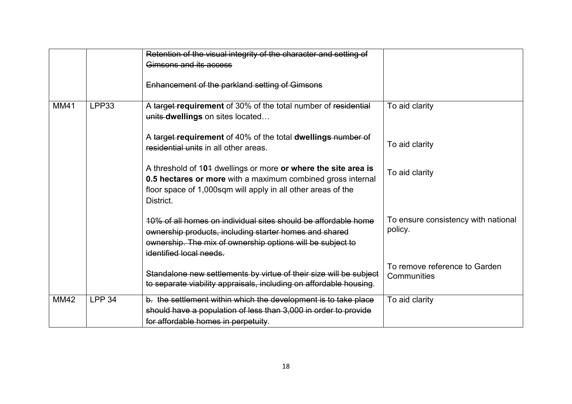|             |               | Retention of the visual integrity of the character and setting of                                                                                                                                                 |                                                |
|-------------|---------------|-------------------------------------------------------------------------------------------------------------------------------------------------------------------------------------------------------------------|------------------------------------------------|
|             |               | Gimsons and its access                                                                                                                                                                                            |                                                |
|             |               | Enhancement of the parkland setting of Gimsons                                                                                                                                                                    |                                                |
| <b>MM41</b> | LPP33         | A target requirement of 30% of the total number of residential<br>units dwellings on sites located                                                                                                                | To aid clarity                                 |
|             |               | A target requirement of 40% of the total dwellings number of<br>residential units in all other areas.                                                                                                             | To aid clarity                                 |
|             |               | A threshold of 104 dwellings or more or where the site area is<br>0.5 hectares or more with a maximum combined gross internal<br>floor space of 1,000sqm will apply in all other areas of the<br>District.        | To aid clarity                                 |
|             |               | 10% of all homes on individual sites should be affordable home<br>ownership products, including starter homes and shared<br>ownership. The mix of ownership options will be subject to<br>identified local needs. | To ensure consistency with national<br>policy. |
|             |               | Standalone new settlements by virtue of their size will be subject<br>to separate viability appraisals, including on affordable housing.                                                                          | To remove reference to Garden<br>Communities   |
| <b>MM42</b> | <b>LPP 34</b> | b. the settlement within which the development is to take place<br>should have a population of less than 3,000 in order to provide<br>for affordable homes in perpetuity.                                         | To aid clarity                                 |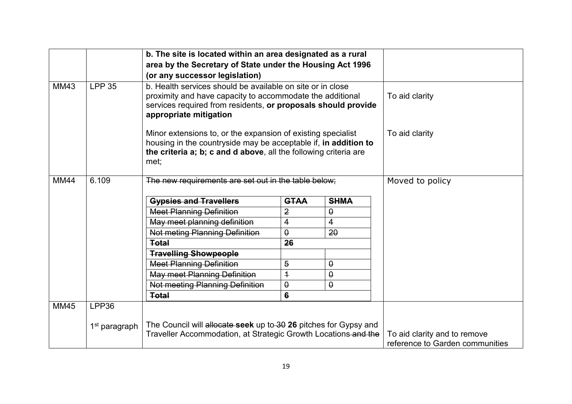|             |                           | b. The site is located within an area designated as a rural<br>area by the Secretary of State under the Housing Act 1996<br>(or any successor legislation)                                                         |                |             |                                                                 |
|-------------|---------------------------|--------------------------------------------------------------------------------------------------------------------------------------------------------------------------------------------------------------------|----------------|-------------|-----------------------------------------------------------------|
| <b>MM43</b> | <b>LPP 35</b>             | b. Health services should be available on site or in close<br>proximity and have capacity to accommodate the additional<br>services required from residents, or proposals should provide<br>appropriate mitigation | To aid clarity |             |                                                                 |
|             |                           | Minor extensions to, or the expansion of existing specialist<br>housing in the countryside may be acceptable if, in addition to<br>the criteria a; b; c and d above, all the following criteria are<br>met;        | To aid clarity |             |                                                                 |
| <b>MM44</b> | 6.109                     | The new requirements are set out in the table below;                                                                                                                                                               |                |             | Moved to policy                                                 |
|             |                           | <b>Gypsies and Travellers</b>                                                                                                                                                                                      | <b>GTAA</b>    | <b>SHMA</b> |                                                                 |
|             |                           | <b>Meet Planning Definition</b>                                                                                                                                                                                    | $\overline{2}$ | $\theta$    |                                                                 |
|             |                           | May meet planning definition                                                                                                                                                                                       | 4              | 4           |                                                                 |
|             |                           | <b>Not meting Planning Definition</b>                                                                                                                                                                              | $\pmb{\theta}$ | 20          |                                                                 |
|             |                           | <b>Total</b>                                                                                                                                                                                                       | 26             |             |                                                                 |
|             |                           | <b>Travelling Showpeople</b>                                                                                                                                                                                       |                |             |                                                                 |
|             |                           | <b>Meet Planning Definition</b>                                                                                                                                                                                    | $\overline{5}$ | $\theta$    |                                                                 |
|             |                           | <b>May meet Planning Definition</b>                                                                                                                                                                                | $\overline{1}$ | $\theta$    |                                                                 |
|             |                           | Not meeting Planning Definition                                                                                                                                                                                    | $\theta$       | $\theta$    |                                                                 |
|             |                           | <b>Total</b>                                                                                                                                                                                                       | 6              |             |                                                                 |
| <b>MM45</b> | LPP36                     |                                                                                                                                                                                                                    |                |             |                                                                 |
|             | 1 <sup>st</sup> paragraph | The Council will allocate seek up to 30 26 pitches for Gypsy and<br>Traveller Accommodation, at Strategic Growth Locations and the                                                                                 |                |             | To aid clarity and to remove<br>reference to Garden communities |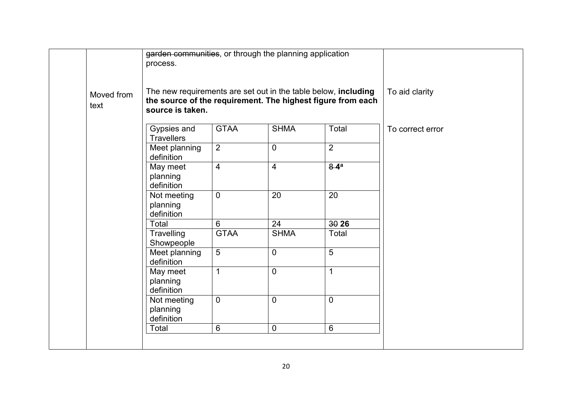|                    | garden communities, or through the planning application<br>process.                |                 |                |                                                             |                  |
|--------------------|------------------------------------------------------------------------------------|-----------------|----------------|-------------------------------------------------------------|------------------|
| Moved from<br>text | The new requirements are set out in the table below, including<br>source is taken. |                 |                | the source of the requirement. The highest figure from each | To aid clarity   |
|                    | Gypsies and<br><b>Travellers</b>                                                   | <b>GTAA</b>     | <b>SHMA</b>    | Total                                                       | To correct error |
|                    | Meet planning<br>definition                                                        | $\overline{2}$  | $\overline{0}$ | $\overline{2}$                                              |                  |
|                    | May meet<br>planning<br>definition                                                 | $\overline{4}$  | $\overline{4}$ | $8-4a$                                                      |                  |
|                    | Not meeting<br>planning<br>definition                                              | $\mathbf 0$     | 20             | 20                                                          |                  |
|                    | Total                                                                              | 6               | 24             | 3026                                                        |                  |
|                    | Travelling<br>Showpeople                                                           | <b>GTAA</b>     | <b>SHMA</b>    | Total                                                       |                  |
|                    | Meet planning<br>definition                                                        | $\overline{5}$  | $\overline{0}$ | 5                                                           |                  |
|                    | May meet<br>planning<br>definition                                                 | 1               | $\overline{0}$ | 1                                                           |                  |
|                    | Not meeting<br>planning<br>definition                                              | $\overline{0}$  | $\overline{0}$ | $\overline{0}$                                              |                  |
|                    | Total                                                                              | $6\phantom{1}6$ | $\mathbf 0$    | 6                                                           |                  |
|                    |                                                                                    |                 |                |                                                             |                  |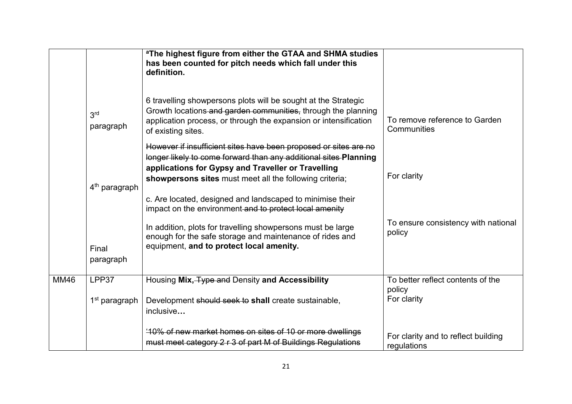|             |                              | <sup>a</sup> The highest figure from either the GTAA and SHMA studies<br>has been counted for pitch needs which fall under this<br>definition.                                                                                                                                                                                                                                                                                                                                                          |                                                              |
|-------------|------------------------------|---------------------------------------------------------------------------------------------------------------------------------------------------------------------------------------------------------------------------------------------------------------------------------------------------------------------------------------------------------------------------------------------------------------------------------------------------------------------------------------------------------|--------------------------------------------------------------|
|             | 3 <sup>rd</sup><br>paragraph | 6 travelling showpersons plots will be sought at the Strategic<br>Growth locations and garden communities, through the planning<br>application process, or through the expansion or intensification<br>of existing sites.                                                                                                                                                                                                                                                                               | To remove reference to Garden<br>Communities                 |
|             | 4 <sup>th</sup> paragraph    | However if insufficient sites have been proposed or sites are no<br>longer likely to come forward than any additional sites Planning<br>applications for Gypsy and Traveller or Travelling<br>showpersons sites must meet all the following criteria;<br>c. Are located, designed and landscaped to minimise their<br>impact on the environment and to protect local amenity<br>In addition, plots for travelling showpersons must be large<br>enough for the safe storage and maintenance of rides and | For clarity<br>To ensure consistency with national<br>policy |
|             | Final<br>paragraph           | equipment, and to protect local amenity.                                                                                                                                                                                                                                                                                                                                                                                                                                                                |                                                              |
| <b>MM46</b> | LPP37                        | Housing Mix, Type and Density and Accessibility                                                                                                                                                                                                                                                                                                                                                                                                                                                         | To better reflect contents of the<br>policy                  |
|             | 1 <sup>st</sup> paragraph    | Development should seek to shall create sustainable,<br>inclusive                                                                                                                                                                                                                                                                                                                                                                                                                                       | For clarity                                                  |
|             |                              | '10% of new market homes on sites of 10 or more dwellings<br>must meet category 2 r 3 of part M of Buildings Regulations                                                                                                                                                                                                                                                                                                                                                                                | For clarity and to reflect building<br>regulations           |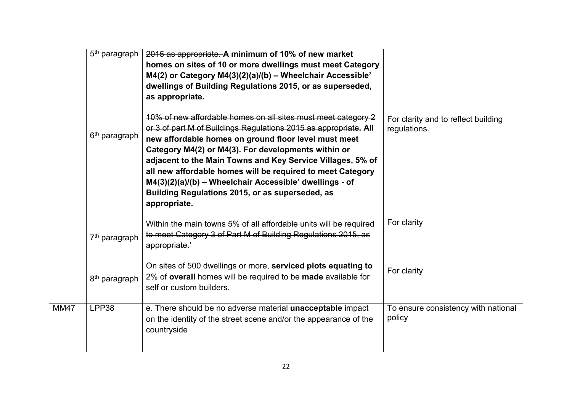|             | 5 <sup>th</sup> paragraph | 2015 as appropriate. A minimum of 10% of new market<br>homes on sites of 10 or more dwellings must meet Category<br>M4(2) or Category M4(3)(2)(a)/(b) - Wheelchair Accessible'<br>dwellings of Building Regulations 2015, or as superseded,<br>as appropriate.                                                                                                                                                                                                                                             |                                                     |
|-------------|---------------------------|------------------------------------------------------------------------------------------------------------------------------------------------------------------------------------------------------------------------------------------------------------------------------------------------------------------------------------------------------------------------------------------------------------------------------------------------------------------------------------------------------------|-----------------------------------------------------|
|             | 6 <sup>th</sup> paragraph | 10% of new affordable homes on all sites must meet category 2<br>or 3 of part M of Buildings Regulations 2015 as appropriate. All<br>new affordable homes on ground floor level must meet<br>Category M4(2) or M4(3). For developments within or<br>adjacent to the Main Towns and Key Service Villages, 5% of<br>all new affordable homes will be required to meet Category<br>M4(3)(2)(a)/(b) - Wheelchair Accessible' dwellings - of<br>Building Regulations 2015, or as superseded, as<br>appropriate. | For clarity and to reflect building<br>regulations. |
|             | 7 <sup>th</sup> paragraph | Within the main towns 5% of all affordable units will be required<br>to meet Category 3 of Part M of Building Regulations 2015, as<br>appropriate.'                                                                                                                                                                                                                                                                                                                                                        | For clarity                                         |
|             | 8 <sup>th</sup> paragraph | On sites of 500 dwellings or more, serviced plots equating to<br>2% of overall homes will be required to be made available for<br>self or custom builders.                                                                                                                                                                                                                                                                                                                                                 | For clarity                                         |
| <b>MM47</b> | LPP38                     | e. There should be no adverse material unacceptable impact<br>on the identity of the street scene and/or the appearance of the<br>countryside                                                                                                                                                                                                                                                                                                                                                              | To ensure consistency with national<br>policy       |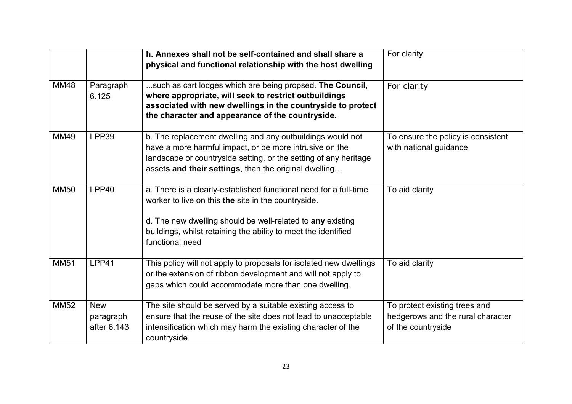|             |                                        | h. Annexes shall not be self-contained and shall share a<br>physical and functional relationship with the host dwelling                                                                                                                                                     | For clarity                                                                              |
|-------------|----------------------------------------|-----------------------------------------------------------------------------------------------------------------------------------------------------------------------------------------------------------------------------------------------------------------------------|------------------------------------------------------------------------------------------|
| <b>MM48</b> | Paragraph<br>6.125                     | such as cart lodges which are being propsed. The Council,<br>where appropriate, will seek to restrict outbuildings<br>associated with new dwellings in the countryside to protect<br>the character and appearance of the countryside.                                       | For clarity                                                                              |
| <b>MM49</b> | LPP39                                  | b. The replacement dwelling and any outbuildings would not<br>have a more harmful impact, or be more intrusive on the<br>landscape or countryside setting, or the setting of any heritage<br>assets and their settings, than the original dwelling                          | To ensure the policy is consistent<br>with national guidance                             |
| <b>MM50</b> | LPP40                                  | a. There is a clearly-established functional need for a full-time<br>worker to live on this the site in the countryside.<br>d. The new dwelling should be well-related to any existing<br>buildings, whilst retaining the ability to meet the identified<br>functional need | To aid clarity                                                                           |
| <b>MM51</b> | LPP41                                  | This policy will not apply to proposals for isolated new dwellings<br>or the extension of ribbon development and will not apply to<br>gaps which could accommodate more than one dwelling.                                                                                  | To aid clarity                                                                           |
| <b>MM52</b> | <b>New</b><br>paragraph<br>after 6.143 | The site should be served by a suitable existing access to<br>ensure that the reuse of the site does not lead to unacceptable<br>intensification which may harm the existing character of the<br>countryside                                                                | To protect existing trees and<br>hedgerows and the rural character<br>of the countryside |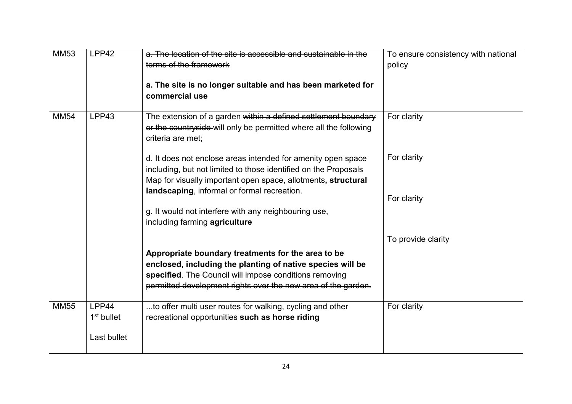| <b>MM53</b> | LPP42                  | a. The location of the site is accessible and sustainable in the  | To ensure consistency with national |
|-------------|------------------------|-------------------------------------------------------------------|-------------------------------------|
|             |                        | terms of the framework                                            | policy                              |
|             |                        |                                                                   |                                     |
|             |                        | a. The site is no longer suitable and has been marketed for       |                                     |
|             |                        | commercial use                                                    |                                     |
|             |                        |                                                                   |                                     |
| <b>MM54</b> | LPP43                  | The extension of a garden within a defined settlement boundary    | For clarity                         |
|             |                        | or the countryside will only be permitted where all the following |                                     |
|             |                        | criteria are met:                                                 |                                     |
|             |                        | d. It does not enclose areas intended for amenity open space      | For clarity                         |
|             |                        | including, but not limited to those identified on the Proposals   |                                     |
|             |                        | Map for visually important open space, allotments, structural     |                                     |
|             |                        | landscaping, informal or formal recreation.                       |                                     |
|             |                        |                                                                   | For clarity                         |
|             |                        | g. It would not interfere with any neighbouring use,              |                                     |
|             |                        | including farming agriculture                                     |                                     |
|             |                        |                                                                   | To provide clarity                  |
|             |                        | Appropriate boundary treatments for the area to be                |                                     |
|             |                        | enclosed, including the planting of native species will be        |                                     |
|             |                        | specified. The Council will impose conditions removing            |                                     |
|             |                        | permitted development rights over the new area of the garden.     |                                     |
| <b>MM55</b> | LPP44                  | to offer multi user routes for walking, cycling and other         | For clarity                         |
|             | 1 <sup>st</sup> bullet | recreational opportunities such as horse riding                   |                                     |
|             |                        |                                                                   |                                     |
|             | Last bullet            |                                                                   |                                     |
|             |                        |                                                                   |                                     |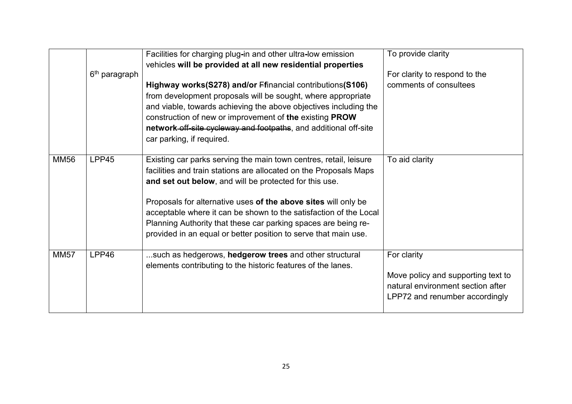|             | 6 <sup>th</sup> paragraph | Facilities for charging plug-in and other ultra-low emission<br>vehicles will be provided at all new residential properties<br>Highway works(S278) and/or Ffinancial contributions(S106)<br>from development proposals will be sought, where appropriate<br>and viable, towards achieving the above objectives including the<br>construction of new or improvement of the existing PROW<br>network off-site cycleway and footpaths, and additional off-site<br>car parking, if required. | To provide clarity<br>For clarity to respond to the<br>comments of consultees                                            |
|-------------|---------------------------|------------------------------------------------------------------------------------------------------------------------------------------------------------------------------------------------------------------------------------------------------------------------------------------------------------------------------------------------------------------------------------------------------------------------------------------------------------------------------------------|--------------------------------------------------------------------------------------------------------------------------|
| <b>MM56</b> | LPP45                     | Existing car parks serving the main town centres, retail, leisure<br>facilities and train stations are allocated on the Proposals Maps<br>and set out below, and will be protected for this use.<br>Proposals for alternative uses of the above sites will only be<br>acceptable where it can be shown to the satisfaction of the Local<br>Planning Authority that these car parking spaces are being re-<br>provided in an equal or better position to serve that main use.             | To aid clarity                                                                                                           |
| <b>MM57</b> | LPP46                     | such as hedgerows, hedgerow trees and other structural<br>elements contributing to the historic features of the lanes.                                                                                                                                                                                                                                                                                                                                                                   | For clarity<br>Move policy and supporting text to<br>natural environment section after<br>LPP72 and renumber accordingly |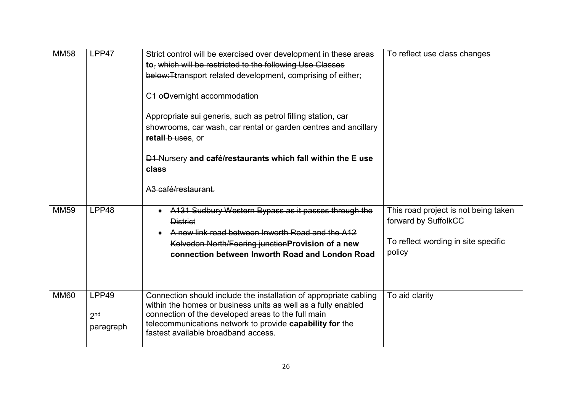| <b>MM58</b> | LPP47                                 | Strict control will be exercised over development in these areas<br>to, which will be restricted to the following Use Classes<br>below: Ttransport related development, comprising of either;<br><b>C1</b> oOvernight accommodation<br>Appropriate sui generis, such as petrol filling station, car<br>showrooms, car wash, car rental or garden centres and ancillary<br>retail b uses, or<br><b>D1-Nursery and café/restaurants which fall within the E use</b><br>class<br>A <sub>3</sub> café/restaurant. | To reflect use class changes                                                                                  |
|-------------|---------------------------------------|---------------------------------------------------------------------------------------------------------------------------------------------------------------------------------------------------------------------------------------------------------------------------------------------------------------------------------------------------------------------------------------------------------------------------------------------------------------------------------------------------------------|---------------------------------------------------------------------------------------------------------------|
| <b>MM59</b> | LPP48                                 | A131 Sudbury Western Bypass as it passes through the<br><b>District</b><br>A new link road between Inworth Road and the A12<br>Kelvedon North/Feering junction Provision of a new<br>connection between Inworth Road and London Road                                                                                                                                                                                                                                                                          | This road project is not being taken<br>forward by SuffolkCC<br>To reflect wording in site specific<br>policy |
| <b>MM60</b> | LPP49<br>2 <sub>nd</sub><br>paragraph | Connection should include the installation of appropriate cabling<br>within the homes or business units as well as a fully enabled<br>connection of the developed areas to the full main<br>telecommunications network to provide capability for the<br>fastest available broadband access.                                                                                                                                                                                                                   | To aid clarity                                                                                                |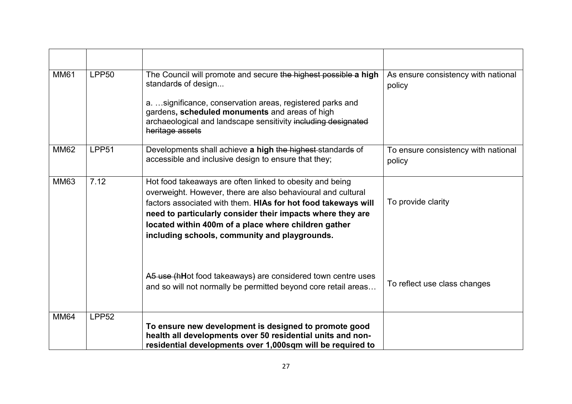| <b>MM61</b> | <b>LPP50</b> | The Council will promote and secure the highest possible a high<br>standards of design<br>a.  significance, conservation areas, registered parks and<br>gardens, scheduled monuments and areas of high<br>archaeological and landscape sensitivity including designated<br>heritage assets                                                                       | As ensure consistency with national<br>policy |
|-------------|--------------|------------------------------------------------------------------------------------------------------------------------------------------------------------------------------------------------------------------------------------------------------------------------------------------------------------------------------------------------------------------|-----------------------------------------------|
| <b>MM62</b> | LPP51        | Developments shall achieve a high the highest standards of<br>accessible and inclusive design to ensure that they;                                                                                                                                                                                                                                               | To ensure consistency with national<br>policy |
| <b>MM63</b> | 7.12         | Hot food takeaways are often linked to obesity and being<br>overweight. However, there are also behavioural and cultural<br>factors associated with them. HIAs for hot food takeways will<br>need to particularly consider their impacts where they are<br>located within 400m of a place where children gather<br>including schools, community and playgrounds. | To provide clarity                            |
|             |              | A5 use (hHot food takeaways) are considered town centre uses<br>and so will not normally be permitted beyond core retail areas                                                                                                                                                                                                                                   | To reflect use class changes                  |
| <b>MM64</b> | <b>LPP52</b> | To ensure new development is designed to promote good<br>health all developments over 50 residential units and non-<br>residential developments over 1,000sqm will be required to                                                                                                                                                                                |                                               |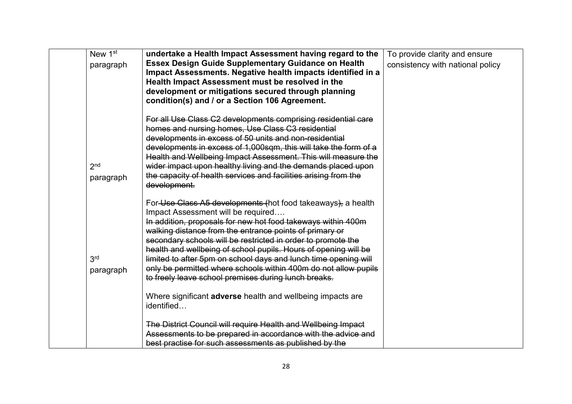| New 1st<br>paragraph         | undertake a Health Impact Assessment having regard to the<br><b>Essex Design Guide Supplementary Guidance on Health</b><br>Impact Assessments. Negative health impacts identified in a<br>Health Impact Assessment must be resolved in the<br>development or mitigations secured through planning<br>condition(s) and / or a Section 106 Agreement.                                                                                                                                                                                                            | To provide clarity and ensure<br>consistency with national policy |
|------------------------------|----------------------------------------------------------------------------------------------------------------------------------------------------------------------------------------------------------------------------------------------------------------------------------------------------------------------------------------------------------------------------------------------------------------------------------------------------------------------------------------------------------------------------------------------------------------|-------------------------------------------------------------------|
| 2 <sub>nd</sub><br>paragraph | For all Use Class C2 developments comprising residential care<br>homes and nursing homes, Use Class C3 residential<br>developments in excess of 50 units and non-residential<br>developments in excess of 1,000sqm, this will take the form of a<br>Health and Wellbeing Impact Assessment. This will measure the<br>wider impact upon healthy living and the demands placed upon<br>the capacity of health services and facilities arising from the<br>development.                                                                                           |                                                                   |
| 3 <sup>rd</sup><br>paragraph | For Use Class A5 developments (hot food takeaways), a health<br>Impact Assessment will be required<br>In addition, proposals for new hot food takeways within 400m<br>walking distance from the entrance points of primary or<br>secondary schools will be restricted in order to promote the<br>health and wellbeing of school pupils. Hours of opening will be<br>limited to after 5pm on school days and lunch time opening will<br>only be permitted where schools within 400m do not allow pupils<br>to freely leave school premises during lunch breaks. |                                                                   |
|                              | Where significant <b>adverse</b> health and wellbeing impacts are<br>identified<br>The District Council will require Health and Wellbeing Impact<br>Assessments to be prepared in accordance with the advice and<br>best practise for such assessments as published by the                                                                                                                                                                                                                                                                                     |                                                                   |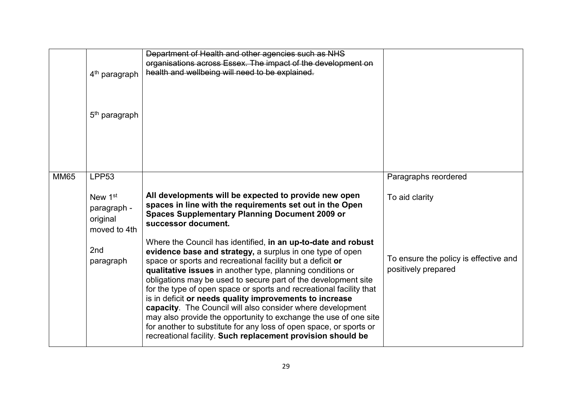|             | 4 <sup>th</sup> paragraph                                               | Department of Health and other agencies such as NHS<br>organisations across Essex. The impact of the development on<br>health and wellbeing will need to be explained.                                                                                                                                                                                                                                                                                                                                                                                                                                                                                                                                                            |                                                              |
|-------------|-------------------------------------------------------------------------|-----------------------------------------------------------------------------------------------------------------------------------------------------------------------------------------------------------------------------------------------------------------------------------------------------------------------------------------------------------------------------------------------------------------------------------------------------------------------------------------------------------------------------------------------------------------------------------------------------------------------------------------------------------------------------------------------------------------------------------|--------------------------------------------------------------|
|             | 5 <sup>th</sup> paragraph                                               |                                                                                                                                                                                                                                                                                                                                                                                                                                                                                                                                                                                                                                                                                                                                   |                                                              |
| <b>MM65</b> | LPP <sub>53</sub><br>New 1st<br>paragraph -<br>original<br>moved to 4th | All developments will be expected to provide new open<br>spaces in line with the requirements set out in the Open<br><b>Spaces Supplementary Planning Document 2009 or</b><br>successor document.                                                                                                                                                                                                                                                                                                                                                                                                                                                                                                                                 | Paragraphs reordered<br>To aid clarity                       |
|             | 2 <sub>nd</sub><br>paragraph                                            | Where the Council has identified, in an up-to-date and robust<br>evidence base and strategy, a surplus in one type of open<br>space or sports and recreational facility but a deficit or<br>qualitative issues in another type, planning conditions or<br>obligations may be used to secure part of the development site<br>for the type of open space or sports and recreational facility that<br>is in deficit or needs quality improvements to increase<br>capacity. The Council will also consider where development<br>may also provide the opportunity to exchange the use of one site<br>for another to substitute for any loss of open space, or sports or<br>recreational facility. Such replacement provision should be | To ensure the policy is effective and<br>positively prepared |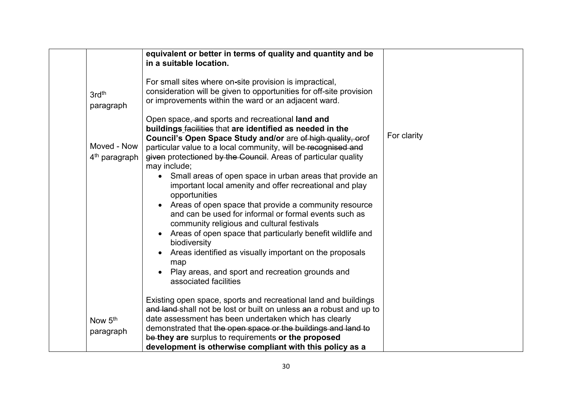|                                          | equivalent or better in terms of quality and quantity and be<br>in a suitable location.                                                                                                                                                                                                                             |             |
|------------------------------------------|---------------------------------------------------------------------------------------------------------------------------------------------------------------------------------------------------------------------------------------------------------------------------------------------------------------------|-------------|
| 3rd <sup>th</sup><br>paragraph           | For small sites where on-site provision is impractical,<br>consideration will be given to opportunities for off-site provision<br>or improvements within the ward or an adjacent ward.                                                                                                                              |             |
|                                          | Open space, and sports and recreational land and<br>buildings facilities that are identified as needed in the<br>Council's Open Space Study and/or are of high quality, orof                                                                                                                                        | For clarity |
| Moved - Now<br>4 <sup>th</sup> paragraph | particular value to a local community, will be recognised and<br>given protectioned by the Council. Areas of particular quality<br>may include;                                                                                                                                                                     |             |
|                                          | • Small areas of open space in urban areas that provide an<br>important local amenity and offer recreational and play<br>opportunities<br>Areas of open space that provide a community resource<br>$\bullet$<br>and can be used for informal or formal events such as<br>community religious and cultural festivals |             |
|                                          | Areas of open space that particularly benefit wildlife and<br>$\bullet$<br>biodiversity<br>Areas identified as visually important on the proposals<br>$\bullet$                                                                                                                                                     |             |
|                                          | map<br>Play areas, and sport and recreation grounds and<br>associated facilities                                                                                                                                                                                                                                    |             |
|                                          | Existing open space, sports and recreational land and buildings<br>and land shall not be lost or built on unless an a robust and up to                                                                                                                                                                              |             |
| Now 5 <sup>th</sup><br>paragraph         | date assessment has been undertaken which has clearly<br>demonstrated that the open space or the buildings and land to<br>be they are surplus to requirements or the proposed                                                                                                                                       |             |
|                                          | development is otherwise compliant with this policy as a                                                                                                                                                                                                                                                            |             |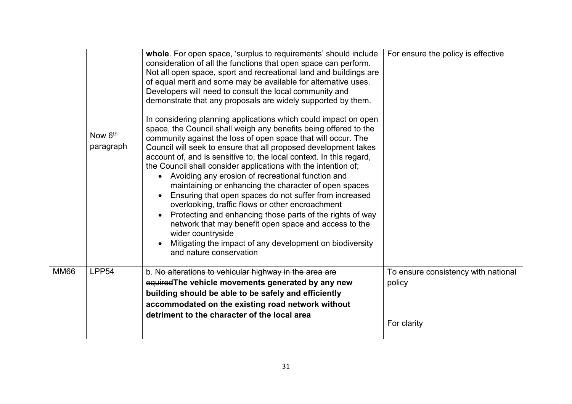|             | Now 6 <sup>th</sup><br>paragraph | whole. For open space, 'surplus to requirements' should include<br>consideration of all the functions that open space can perform.<br>Not all open space, sport and recreational land and buildings are<br>of equal merit and some may be available for alternative uses.<br>Developers will need to consult the local community and<br>demonstrate that any proposals are widely supported by them.<br>In considering planning applications which could impact on open<br>space, the Council shall weigh any benefits being offered to the<br>community against the loss of open space that will occur. The<br>Council will seek to ensure that all proposed development takes<br>account of, and is sensitive to, the local context. In this regard,<br>the Council shall consider applications with the intention of;<br>• Avoiding any erosion of recreational function and<br>maintaining or enhancing the character of open spaces<br>Ensuring that open spaces do not suffer from increased<br>overlooking, traffic flows or other encroachment<br>Protecting and enhancing those parts of the rights of way<br>network that may benefit open space and access to the<br>wider countryside | For ensure the policy is effective                           |
|-------------|----------------------------------|---------------------------------------------------------------------------------------------------------------------------------------------------------------------------------------------------------------------------------------------------------------------------------------------------------------------------------------------------------------------------------------------------------------------------------------------------------------------------------------------------------------------------------------------------------------------------------------------------------------------------------------------------------------------------------------------------------------------------------------------------------------------------------------------------------------------------------------------------------------------------------------------------------------------------------------------------------------------------------------------------------------------------------------------------------------------------------------------------------------------------------------------------------------------------------------------------|--------------------------------------------------------------|
|             |                                  | Mitigating the impact of any development on biodiversity<br>and nature conservation                                                                                                                                                                                                                                                                                                                                                                                                                                                                                                                                                                                                                                                                                                                                                                                                                                                                                                                                                                                                                                                                                                               |                                                              |
| <b>MM66</b> | LPP <sub>54</sub>                | b. No alterations to vehicular highway in the area are<br>equired The vehicle movements generated by any new<br>building should be able to be safely and efficiently<br>accommodated on the existing road network without<br>detriment to the character of the local area                                                                                                                                                                                                                                                                                                                                                                                                                                                                                                                                                                                                                                                                                                                                                                                                                                                                                                                         | To ensure consistency with national<br>policy<br>For clarity |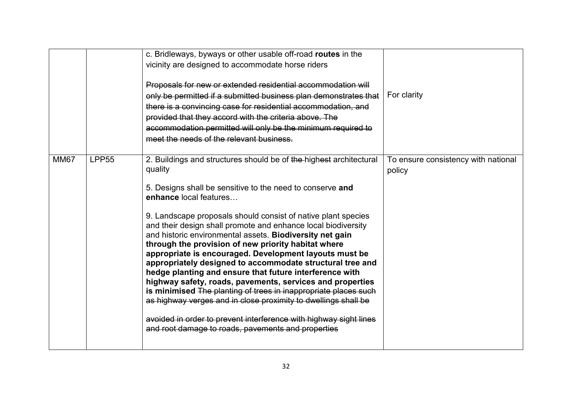|             |              | c. Bridleways, byways or other usable off-road routes in the<br>vicinity are designed to accommodate horse riders<br>Proposals for new or extended residential accommodation will<br>only be permitted if a submitted business plan demonstrates that<br>there is a convincing case for residential accommodation, and<br>provided that they accord with the criteria above. The<br>accommodation permitted will only be the minimum required to<br>meet the needs of the relevant business.                                                                                                                                                                                                                                                                                                                                                                                                                                             | For clarity                                   |
|-------------|--------------|------------------------------------------------------------------------------------------------------------------------------------------------------------------------------------------------------------------------------------------------------------------------------------------------------------------------------------------------------------------------------------------------------------------------------------------------------------------------------------------------------------------------------------------------------------------------------------------------------------------------------------------------------------------------------------------------------------------------------------------------------------------------------------------------------------------------------------------------------------------------------------------------------------------------------------------|-----------------------------------------------|
| <b>MM67</b> | <b>LPP55</b> | 2. Buildings and structures should be of the highest architectural<br>quality<br>5. Designs shall be sensitive to the need to conserve and<br>enhance local features<br>9. Landscape proposals should consist of native plant species<br>and their design shall promote and enhance local biodiversity<br>and historic environmental assets. Biodiversity net gain<br>through the provision of new priority habitat where<br>appropriate is encouraged. Development layouts must be<br>appropriately designed to accommodate structural tree and<br>hedge planting and ensure that future interference with<br>highway safety, roads, pavements, services and properties<br>is minimised The planting of trees in inappropriate places such<br>as highway verges and in close proximity to dwellings shall be<br>avoided in order to prevent interference with highway sight lines<br>and root damage to roads, pavements and properties | To ensure consistency with national<br>policy |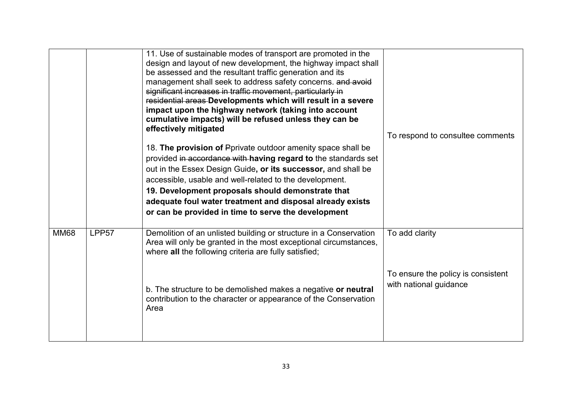|             |                   | 11. Use of sustainable modes of transport are promoted in the<br>design and layout of new development, the highway impact shall<br>be assessed and the resultant traffic generation and its<br>management shall seek to address safety concerns. and avoid<br>significant increases in traffic movement, particularly in<br>residential areas Developments which will result in a severe<br>impact upon the highway network (taking into account<br>cumulative impacts) will be refused unless they can be<br>effectively mitigated<br>18. The provision of Pprivate outdoor amenity space shall be<br>provided in accordance with having regard to the standards set<br>out in the Essex Design Guide, or its successor, and shall be<br>accessible, usable and well-related to the development.<br>19. Development proposals should demonstrate that | To respond to consultee comments                             |
|-------------|-------------------|--------------------------------------------------------------------------------------------------------------------------------------------------------------------------------------------------------------------------------------------------------------------------------------------------------------------------------------------------------------------------------------------------------------------------------------------------------------------------------------------------------------------------------------------------------------------------------------------------------------------------------------------------------------------------------------------------------------------------------------------------------------------------------------------------------------------------------------------------------|--------------------------------------------------------------|
|             |                   | adequate foul water treatment and disposal already exists<br>or can be provided in time to serve the development                                                                                                                                                                                                                                                                                                                                                                                                                                                                                                                                                                                                                                                                                                                                       |                                                              |
| <b>MM68</b> | LPP <sub>57</sub> | Demolition of an unlisted building or structure in a Conservation<br>Area will only be granted in the most exceptional circumstances,<br>where all the following criteria are fully satisfied;                                                                                                                                                                                                                                                                                                                                                                                                                                                                                                                                                                                                                                                         | To add clarity                                               |
|             |                   | b. The structure to be demolished makes a negative or neutral<br>contribution to the character or appearance of the Conservation<br>Area                                                                                                                                                                                                                                                                                                                                                                                                                                                                                                                                                                                                                                                                                                               | To ensure the policy is consistent<br>with national guidance |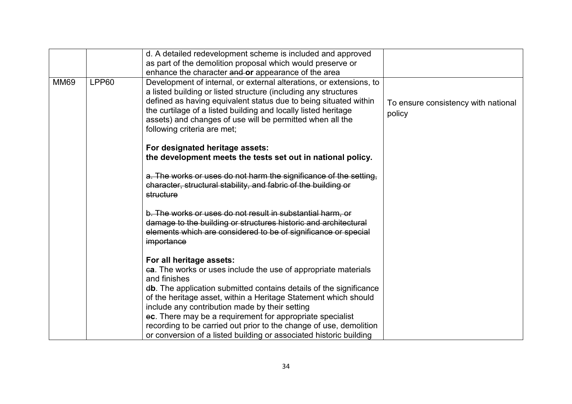|             |              | d. A detailed redevelopment scheme is included and approved<br>as part of the demolition proposal which would preserve or                                                                                                                                                                                                                                                |                                               |
|-------------|--------------|--------------------------------------------------------------------------------------------------------------------------------------------------------------------------------------------------------------------------------------------------------------------------------------------------------------------------------------------------------------------------|-----------------------------------------------|
|             |              | enhance the character and or appearance of the area                                                                                                                                                                                                                                                                                                                      |                                               |
| <b>MM69</b> | <b>LPP60</b> | Development of internal, or external alterations, or extensions, to<br>a listed building or listed structure (including any structures<br>defined as having equivalent status due to being situated within<br>the curtilage of a listed building and locally listed heritage<br>assets) and changes of use will be permitted when all the<br>following criteria are met; | To ensure consistency with national<br>policy |
|             |              | For designated heritage assets:<br>the development meets the tests set out in national policy.                                                                                                                                                                                                                                                                           |                                               |
|             |              | a. The works or uses do not harm the significance of the setting,<br>character, structural stability, and fabric of the building or<br>structure                                                                                                                                                                                                                         |                                               |
|             |              | b. The works or uses do not result in substantial harm, or<br>damage to the building or structures historic and architectural<br>elements which are considered to be of significance or special<br>importance                                                                                                                                                            |                                               |
|             |              | For all heritage assets:                                                                                                                                                                                                                                                                                                                                                 |                                               |
|             |              |                                                                                                                                                                                                                                                                                                                                                                          |                                               |
|             |              | ea. The works or uses include the use of appropriate materials<br>and finishes                                                                                                                                                                                                                                                                                           |                                               |
|             |              | db. The application submitted contains details of the significance                                                                                                                                                                                                                                                                                                       |                                               |
|             |              | of the heritage asset, within a Heritage Statement which should                                                                                                                                                                                                                                                                                                          |                                               |
|             |              | include any contribution made by their setting                                                                                                                                                                                                                                                                                                                           |                                               |
|             |              | ec. There may be a requirement for appropriate specialist                                                                                                                                                                                                                                                                                                                |                                               |
|             |              | recording to be carried out prior to the change of use, demolition                                                                                                                                                                                                                                                                                                       |                                               |
|             |              | or conversion of a listed building or associated historic building                                                                                                                                                                                                                                                                                                       |                                               |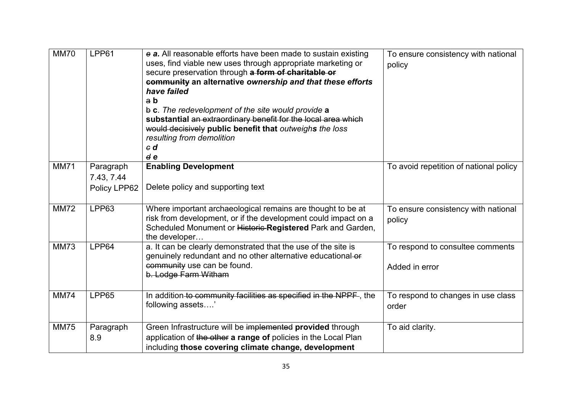| <b>MM70</b> | LPP61                                   | e a. All reasonable efforts have been made to sustain existing<br>uses, find viable new uses through appropriate marketing or<br>secure preservation through a form of charitable or<br>community an alternative ownership and that these efforts<br>have failed<br>a b<br>$\frac{1}{2}$ c. The redevelopment of the site would provide a<br>substantial an extraordinary benefit for the local area which<br>would decisively public benefit that outweighs the loss<br>resulting from demolition<br>$\epsilon$ d<br>d e | To ensure consistency with national<br>policy      |
|-------------|-----------------------------------------|---------------------------------------------------------------------------------------------------------------------------------------------------------------------------------------------------------------------------------------------------------------------------------------------------------------------------------------------------------------------------------------------------------------------------------------------------------------------------------------------------------------------------|----------------------------------------------------|
| <b>MM71</b> | Paragraph<br>7.43, 7.44<br>Policy LPP62 | <b>Enabling Development</b><br>Delete policy and supporting text                                                                                                                                                                                                                                                                                                                                                                                                                                                          | To avoid repetition of national policy             |
| <b>MM72</b> | LPP63                                   | Where important archaeological remains are thought to be at<br>risk from development, or if the development could impact on a<br>Scheduled Monument or Historic-Registered Park and Garden,<br>the developer                                                                                                                                                                                                                                                                                                              | To ensure consistency with national<br>policy      |
| <b>MM73</b> | LPP64                                   | a. It can be clearly demonstrated that the use of the site is<br>genuinely redundant and no other alternative educational-or<br>community use can be found.<br>b. Lodge Farm Witham                                                                                                                                                                                                                                                                                                                                       | To respond to consultee comments<br>Added in error |
| <b>MM74</b> | LPP65                                   | In addition to community facilities as specified in the NPPF, the<br>following assets'                                                                                                                                                                                                                                                                                                                                                                                                                                    | To respond to changes in use class<br>order        |
| <b>MM75</b> | Paragraph<br>8.9                        | Green Infrastructure will be implemented provided through<br>application of the other a range of policies in the Local Plan<br>including those covering climate change, development                                                                                                                                                                                                                                                                                                                                       | To aid clarity.                                    |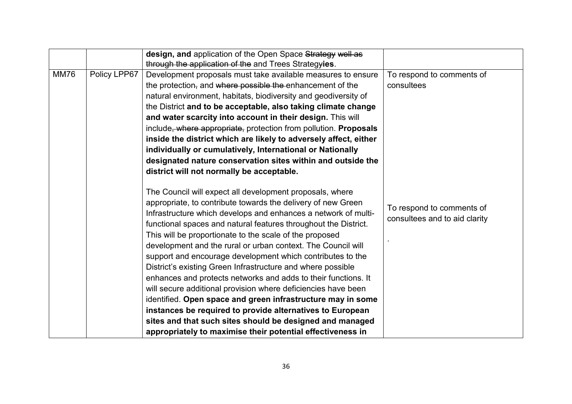|             |              | design, and application of the Open Space Strategy well as       |                               |
|-------------|--------------|------------------------------------------------------------------|-------------------------------|
|             |              | through the application of the and Trees Strategyies.            |                               |
| <b>MM76</b> | Policy LPP67 | Development proposals must take available measures to ensure     | To respond to comments of     |
|             |              | the protection, and where possible the enhancement of the        | consultees                    |
|             |              | natural environment, habitats, biodiversity and geodiversity of  |                               |
|             |              | the District and to be acceptable, also taking climate change    |                               |
|             |              | and water scarcity into account in their design. This will       |                               |
|             |              | include, where appropriate, protection from pollution. Proposals |                               |
|             |              | inside the district which are likely to adversely affect, either |                               |
|             |              | individually or cumulatively, International or Nationally        |                               |
|             |              | designated nature conservation sites within and outside the      |                               |
|             |              | district will not normally be acceptable.                        |                               |
|             |              |                                                                  |                               |
|             |              | The Council will expect all development proposals, where         |                               |
|             |              | appropriate, to contribute towards the delivery of new Green     | To respond to comments of     |
|             |              | Infrastructure which develops and enhances a network of multi-   |                               |
|             |              | functional spaces and natural features throughout the District.  | consultees and to aid clarity |
|             |              | This will be proportionate to the scale of the proposed          |                               |
|             |              | development and the rural or urban context. The Council will     |                               |
|             |              | support and encourage development which contributes to the       |                               |
|             |              | District's existing Green Infrastructure and where possible      |                               |
|             |              | enhances and protects networks and adds to their functions. It   |                               |
|             |              | will secure additional provision where deficiencies have been    |                               |
|             |              | identified. Open space and green infrastructure may in some      |                               |
|             |              | instances be required to provide alternatives to European        |                               |
|             |              | sites and that such sites should be designed and managed         |                               |
|             |              |                                                                  |                               |
|             |              | appropriately to maximise their potential effectiveness in       |                               |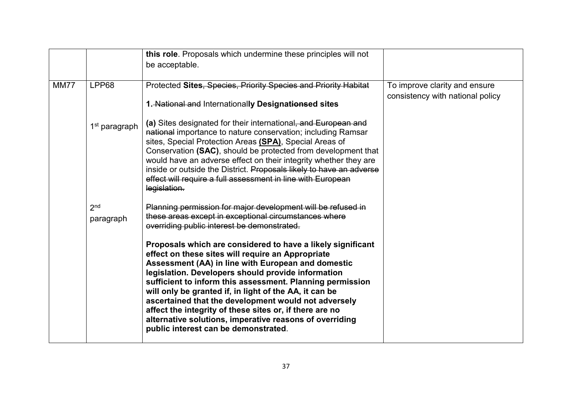|             |                              | this role. Proposals which undermine these principles will not<br>be acceptable.                                                                                                                                                                                                                                                                                                                                                                                                                                                                                                                                                                                                                                                                  |                                                                   |
|-------------|------------------------------|---------------------------------------------------------------------------------------------------------------------------------------------------------------------------------------------------------------------------------------------------------------------------------------------------------------------------------------------------------------------------------------------------------------------------------------------------------------------------------------------------------------------------------------------------------------------------------------------------------------------------------------------------------------------------------------------------------------------------------------------------|-------------------------------------------------------------------|
| <b>MM77</b> | LPP68                        | Protected Sites, Species, Priority Species and Priority Habitat<br>1. National and Internationally Designationsed sites                                                                                                                                                                                                                                                                                                                                                                                                                                                                                                                                                                                                                           | To improve clarity and ensure<br>consistency with national policy |
|             | 1 <sup>st</sup> paragraph    | (a) Sites designated for their international, and European and<br>national importance to nature conservation; including Ramsar<br>sites, Special Protection Areas (SPA), Special Areas of<br>Conservation (SAC), should be protected from development that<br>would have an adverse effect on their integrity whether they are<br>inside or outside the District. Proposals likely to have an adverse<br>effect will require a full assessment in line with European<br>legislation.                                                                                                                                                                                                                                                              |                                                                   |
|             | 2 <sub>nd</sub><br>paragraph | Planning permission for major development will be refused in<br>these areas except in exceptional circumstances where<br>overriding public interest be demonstrated.<br>Proposals which are considered to have a likely significant<br>effect on these sites will require an Appropriate<br>Assessment (AA) in line with European and domestic<br>legislation. Developers should provide information<br>sufficient to inform this assessment. Planning permission<br>will only be granted if, in light of the AA, it can be<br>ascertained that the development would not adversely<br>affect the integrity of these sites or, if there are no<br>alternative solutions, imperative reasons of overriding<br>public interest can be demonstrated. |                                                                   |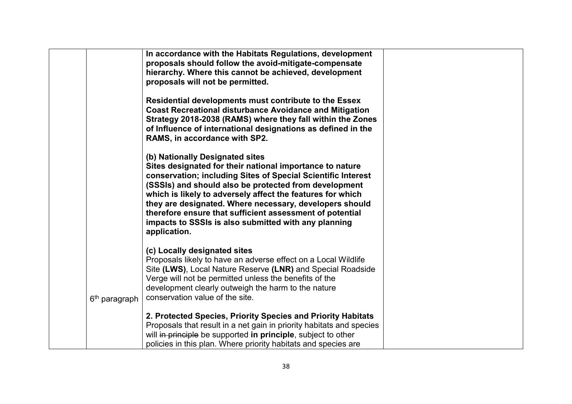|                           | In accordance with the Habitats Regulations, development<br>proposals should follow the avoid-mitigate-compensate<br>hierarchy. Where this cannot be achieved, development                                                                                                                                                                                                                                                                                                        |  |
|---------------------------|-----------------------------------------------------------------------------------------------------------------------------------------------------------------------------------------------------------------------------------------------------------------------------------------------------------------------------------------------------------------------------------------------------------------------------------------------------------------------------------|--|
|                           | proposals will not be permitted.<br>Residential developments must contribute to the Essex<br><b>Coast Recreational disturbance Avoidance and Mitigation</b><br>Strategy 2018-2038 (RAMS) where they fall within the Zones<br>of Influence of international designations as defined in the<br>RAMS, in accordance with SP2.                                                                                                                                                        |  |
|                           | (b) Nationally Designated sites<br>Sites designated for their national importance to nature<br>conservation; including Sites of Special Scientific Interest<br>(SSSIs) and should also be protected from development<br>which is likely to adversely affect the features for which<br>they are designated. Where necessary, developers should<br>therefore ensure that sufficient assessment of potential<br>impacts to SSSIs is also submitted with any planning<br>application. |  |
| 6 <sup>th</sup> paragraph | (c) Locally designated sites<br>Proposals likely to have an adverse effect on a Local Wildlife<br>Site (LWS), Local Nature Reserve (LNR) and Special Roadside<br>Verge will not be permitted unless the benefits of the<br>development clearly outweigh the harm to the nature<br>conservation value of the site.                                                                                                                                                                 |  |
|                           | 2. Protected Species, Priority Species and Priority Habitats<br>Proposals that result in a net gain in priority habitats and species<br>will in principle be supported in principle, subject to other<br>policies in this plan. Where priority habitats and species are                                                                                                                                                                                                           |  |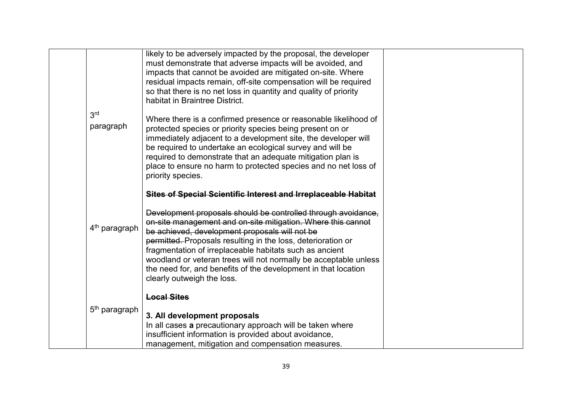|                              | likely to be adversely impacted by the proposal, the developer<br>must demonstrate that adverse impacts will be avoided, and<br>impacts that cannot be avoided are mitigated on-site. Where<br>residual impacts remain, off-site compensation will be required<br>so that there is no net loss in quantity and quality of priority<br>habitat in Braintree District.                                                                                                           |
|------------------------------|--------------------------------------------------------------------------------------------------------------------------------------------------------------------------------------------------------------------------------------------------------------------------------------------------------------------------------------------------------------------------------------------------------------------------------------------------------------------------------|
| 3 <sup>rd</sup><br>paragraph | Where there is a confirmed presence or reasonable likelihood of<br>protected species or priority species being present on or<br>immediately adjacent to a development site, the developer will<br>be required to undertake an ecological survey and will be<br>required to demonstrate that an adequate mitigation plan is<br>place to ensure no harm to protected species and no net loss of<br>priority species.                                                             |
|                              | <b>Sites of Special Scientific Interest and Irreplaceable Habitat</b>                                                                                                                                                                                                                                                                                                                                                                                                          |
| 4 <sup>th</sup> paragraph    | Development proposals should be controlled through avoidance,<br>on-site management and on-site mitigation. Where this cannot<br>be achieved, development proposals will not be<br>permitted. Proposals resulting in the loss, deterioration or<br>fragmentation of irreplaceable habitats such as ancient<br>woodland or veteran trees will not normally be acceptable unless<br>the need for, and benefits of the development in that location<br>clearly outweigh the loss. |
| 5 <sup>th</sup> paragraph    | <b>Local Sites</b><br>3. All development proposals<br>In all cases a precautionary approach will be taken where<br>insufficient information is provided about avoidance,<br>management, mitigation and compensation measures.                                                                                                                                                                                                                                                  |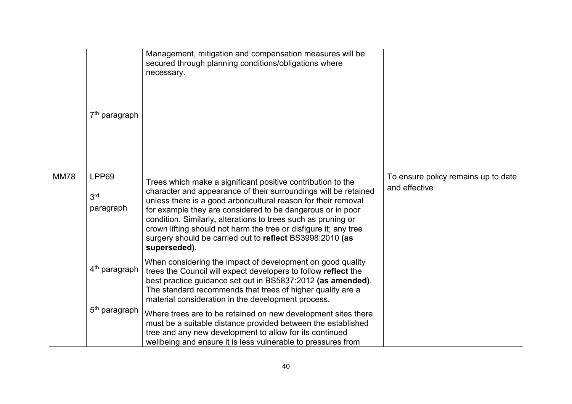|             | 7 <sup>th</sup> paragraph             | Management, mitigation and compensation measures will be<br>secured through planning conditions/obligations where<br>necessary.                                                                                                                                                                                                                                                                                                                                                 |                                                      |
|-------------|---------------------------------------|---------------------------------------------------------------------------------------------------------------------------------------------------------------------------------------------------------------------------------------------------------------------------------------------------------------------------------------------------------------------------------------------------------------------------------------------------------------------------------|------------------------------------------------------|
| <b>MM78</b> | LPP69<br>3 <sup>rd</sup><br>paragraph | Trees which make a significant positive contribution to the<br>character and appearance of their surroundings will be retained<br>unless there is a good arboricultural reason for their removal<br>for example they are considered to be dangerous or in poor<br>condition. Similarly, alterations to trees such as pruning or<br>crown lifting should not harm the tree or disfigure it; any tree<br>surgery should be carried out to reflect BS3998:2010 (as<br>superseded). | To ensure policy remains up to date<br>and effective |
|             | 4 <sup>th</sup> paragraph             | When considering the impact of development on good quality<br>trees the Council will expect developers to follow reflect the<br>best practice guidance set out in BS5837:2012 (as amended).<br>The standard recommends that trees of higher quality are a<br>material consideration in the development process.                                                                                                                                                                 |                                                      |
|             | $5th$ paragraph                       | Where trees are to be retained on new development sites there<br>must be a suitable distance provided between the established<br>tree and any new development to allow for its continued<br>wellbeing and ensure it is less vulnerable to pressures from                                                                                                                                                                                                                        |                                                      |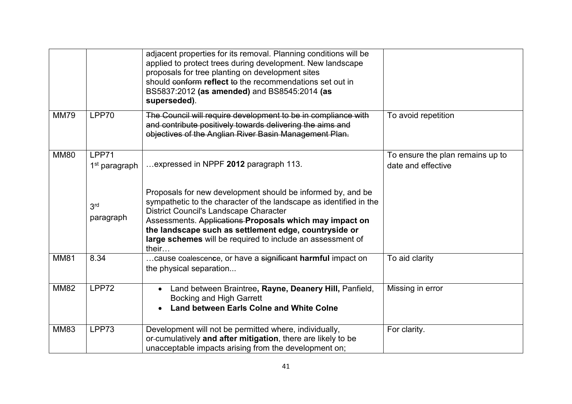|             |                                    | adjacent properties for its removal. Planning conditions will be<br>applied to protect trees during development. New landscape<br>proposals for tree planting on development sites<br>should conform reflect to the recommendations set out in<br>BS5837:2012 (as amended) and BS8545:2014 (as<br>superseded).                                                                        |                                                        |
|-------------|------------------------------------|---------------------------------------------------------------------------------------------------------------------------------------------------------------------------------------------------------------------------------------------------------------------------------------------------------------------------------------------------------------------------------------|--------------------------------------------------------|
| <b>MM79</b> | LPP70                              | The Council will require development to be in compliance with<br>and contribute positively towards delivering the aims and<br>objectives of the Anglian River Basin Management Plan.                                                                                                                                                                                                  | To avoid repetition                                    |
| <b>MM80</b> | LPP71<br>1 <sup>st</sup> paragraph | expressed in NPPF 2012 paragraph 113.                                                                                                                                                                                                                                                                                                                                                 | To ensure the plan remains up to<br>date and effective |
|             | 3 <sup>rd</sup><br>paragraph       | Proposals for new development should be informed by, and be<br>sympathetic to the character of the landscape as identified in the<br><b>District Council's Landscape Character</b><br>Assessments. Applications-Proposals which may impact on<br>the landscape such as settlement edge, countryside or<br>large schemes will be required to include an assessment of<br>their $\dots$ |                                                        |
| <b>MM81</b> | 8.34                               | cause coalescence, or have a significant harmful impact on<br>the physical separation                                                                                                                                                                                                                                                                                                 | To aid clarity                                         |
| <b>MM82</b> | LPP72                              | Land between Braintree, Rayne, Deanery Hill, Panfield,<br>$\bullet$<br><b>Bocking and High Garrett</b><br><b>Land between Earls Colne and White Colne</b>                                                                                                                                                                                                                             | Missing in error                                       |
| <b>MM83</b> | LPP73                              | Development will not be permitted where, individually,<br>or-cumulatively and after mitigation, there are likely to be<br>unacceptable impacts arising from the development on;                                                                                                                                                                                                       | For clarity.                                           |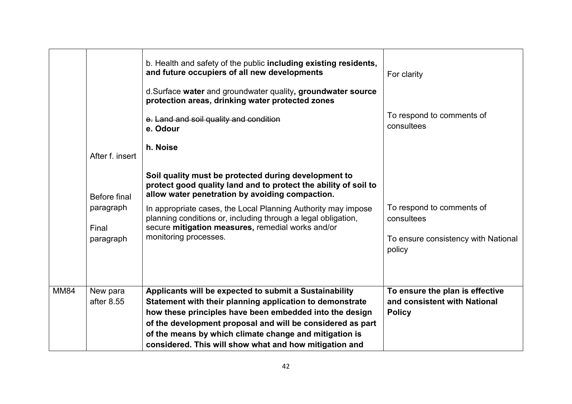| <b>MM84</b> | New para<br>after 8.55                                                    | Applicants will be expected to submit a Sustainability<br>Statement with their planning application to demonstrate<br>how these principles have been embedded into the design<br>of the development proposal and will be considered as part<br>of the means by which climate change and mitigation is<br>considered. This will show what and how mitigation and                                                                                                                                                                                                                  | To ensure the plan is effective<br>and consistent with National<br><b>Policy</b>                                                    |
|-------------|---------------------------------------------------------------------------|----------------------------------------------------------------------------------------------------------------------------------------------------------------------------------------------------------------------------------------------------------------------------------------------------------------------------------------------------------------------------------------------------------------------------------------------------------------------------------------------------------------------------------------------------------------------------------|-------------------------------------------------------------------------------------------------------------------------------------|
|             | After f. insert<br><b>Before final</b><br>paragraph<br>Final<br>paragraph | d. Surface water and groundwater quality, groundwater source<br>protection areas, drinking water protected zones<br>e. Land and soil quality and condition<br>e. Odour<br>h. Noise<br>Soil quality must be protected during development to<br>protect good quality land and to protect the ability of soil to<br>allow water penetration by avoiding compaction.<br>In appropriate cases, the Local Planning Authority may impose<br>planning conditions or, including through a legal obligation,<br>secure mitigation measures, remedial works and/or<br>monitoring processes. | To respond to comments of<br>consultees<br>To respond to comments of<br>consultees<br>To ensure consistency with National<br>policy |
|             |                                                                           | b. Health and safety of the public including existing residents,<br>and future occupiers of all new developments                                                                                                                                                                                                                                                                                                                                                                                                                                                                 | For clarity                                                                                                                         |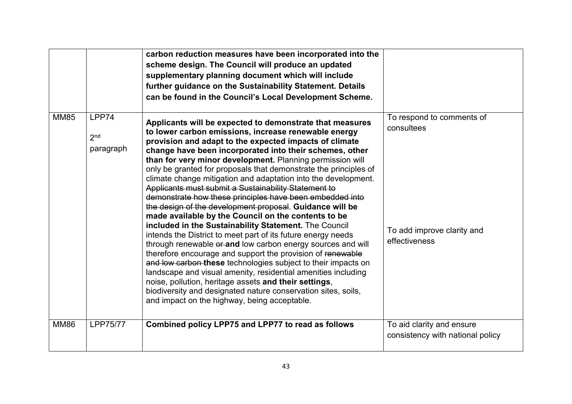|             |                                       | carbon reduction measures have been incorporated into the<br>scheme design. The Council will produce an updated<br>supplementary planning document which will include<br>further guidance on the Sustainability Statement. Details<br>can be found in the Council's Local Development Scheme.                                                                                                                                                                                                                                                                                                                                                                                                                                                                                                                                                                                                                                                                                                                                                                                                                                                                                                                                                     |                                                                                        |
|-------------|---------------------------------------|---------------------------------------------------------------------------------------------------------------------------------------------------------------------------------------------------------------------------------------------------------------------------------------------------------------------------------------------------------------------------------------------------------------------------------------------------------------------------------------------------------------------------------------------------------------------------------------------------------------------------------------------------------------------------------------------------------------------------------------------------------------------------------------------------------------------------------------------------------------------------------------------------------------------------------------------------------------------------------------------------------------------------------------------------------------------------------------------------------------------------------------------------------------------------------------------------------------------------------------------------|----------------------------------------------------------------------------------------|
| <b>MM85</b> | LPP74<br>2 <sub>nd</sub><br>paragraph | Applicants will be expected to demonstrate that measures<br>to lower carbon emissions, increase renewable energy<br>provision and adapt to the expected impacts of climate<br>change have been incorporated into their schemes, other<br>than for very minor development. Planning permission will<br>only be granted for proposals that demonstrate the principles of<br>climate change mitigation and adaptation into the development.<br>Applicants must submit a Sustainability Statement to<br>demonstrate how these principles have been embedded into<br>the design of the development proposal. Guidance will be<br>made available by the Council on the contents to be<br>included in the Sustainability Statement. The Council<br>intends the District to meet part of its future energy needs<br>through renewable or and low carbon energy sources and will<br>therefore encourage and support the provision of renewable<br>and low carbon these technologies subject to their impacts on<br>landscape and visual amenity, residential amenities including<br>noise, pollution, heritage assets and their settings,<br>biodiversity and designated nature conservation sites, soils,<br>and impact on the highway, being acceptable. | To respond to comments of<br>consultees<br>To add improve clarity and<br>effectiveness |
| <b>MM86</b> | <b>LPP75/77</b>                       | Combined policy LPP75 and LPP77 to read as follows                                                                                                                                                                                                                                                                                                                                                                                                                                                                                                                                                                                                                                                                                                                                                                                                                                                                                                                                                                                                                                                                                                                                                                                                | To aid clarity and ensure<br>consistency with national policy                          |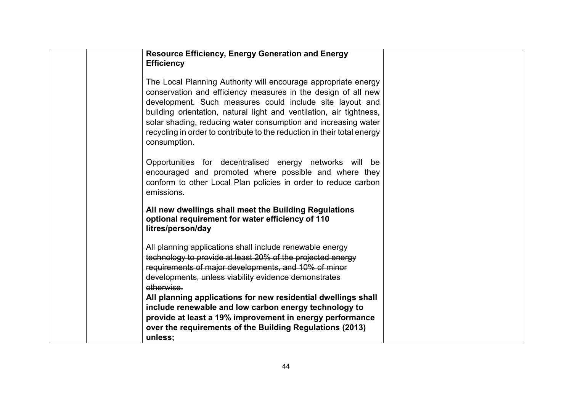| <b>Resource Efficiency, Energy Generation and Energy</b><br><b>Efficiency</b>                                                                                                                                                                                                                                                                                                                                                   |  |
|---------------------------------------------------------------------------------------------------------------------------------------------------------------------------------------------------------------------------------------------------------------------------------------------------------------------------------------------------------------------------------------------------------------------------------|--|
| The Local Planning Authority will encourage appropriate energy<br>conservation and efficiency measures in the design of all new<br>development. Such measures could include site layout and<br>building orientation, natural light and ventilation, air tightness,<br>solar shading, reducing water consumption and increasing water<br>recycling in order to contribute to the reduction in their total energy<br>consumption. |  |
| Opportunities for decentralised energy networks will be<br>encouraged and promoted where possible and where they<br>conform to other Local Plan policies in order to reduce carbon<br>emissions.                                                                                                                                                                                                                                |  |
| All new dwellings shall meet the Building Regulations<br>optional requirement for water efficiency of 110<br>litres/person/day                                                                                                                                                                                                                                                                                                  |  |
| All planning applications shall include renewable energy                                                                                                                                                                                                                                                                                                                                                                        |  |
| technology to provide at least 20% of the projected energy                                                                                                                                                                                                                                                                                                                                                                      |  |
| requirements of major developments, and 10% of minor<br>developments, unless viability evidence demonstrates<br>otherwise.                                                                                                                                                                                                                                                                                                      |  |
| All planning applications for new residential dwellings shall<br>include renewable and low carbon energy technology to<br>provide at least a 19% improvement in energy performance<br>over the requirements of the Building Regulations (2013)<br>unless;                                                                                                                                                                       |  |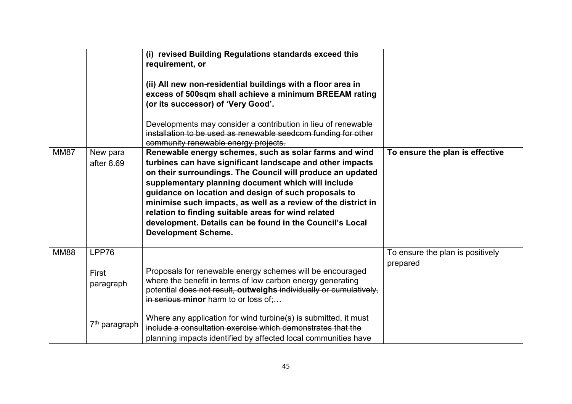| <b>MM87</b> | New para                    | (i) revised Building Regulations standards exceed this<br>requirement, or<br>(ii) All new non-residential buildings with a floor area in<br>excess of 500sqm shall achieve a minimum BREEAM rating<br>(or its successor) of 'Very Good'.<br>Developments may consider a contribution in lieu of renewable<br>installation to be used as renewable seedcorn funding for other<br>community renewable energy projects.<br>Renewable energy schemes, such as solar farms and wind | To ensure the plan is effective              |
|-------------|-----------------------------|--------------------------------------------------------------------------------------------------------------------------------------------------------------------------------------------------------------------------------------------------------------------------------------------------------------------------------------------------------------------------------------------------------------------------------------------------------------------------------|----------------------------------------------|
|             | after 8.69                  | turbines can have significant landscape and other impacts<br>on their surroundings. The Council will produce an updated<br>supplementary planning document which will include<br>guidance on location and design of such proposals to<br>minimise such impacts, as well as a review of the district in<br>relation to finding suitable areas for wind related<br>development. Details can be found in the Council's Local<br><b>Development Scheme.</b>                        |                                              |
| <b>MM88</b> | LPP76<br>First<br>paragraph | Proposals for renewable energy schemes will be encouraged<br>where the benefit in terms of low carbon energy generating<br>potential does not result, outweighs individually or cumulatively,<br>in serious minor harm to or loss of;                                                                                                                                                                                                                                          | To ensure the plan is positively<br>prepared |
|             | 7 <sup>th</sup> paragraph   | Where any application for wind turbine(s) is submitted, it must<br>include a consultation exercise which demonstrates that the<br>planning impacts identified by affected local communities have                                                                                                                                                                                                                                                                               |                                              |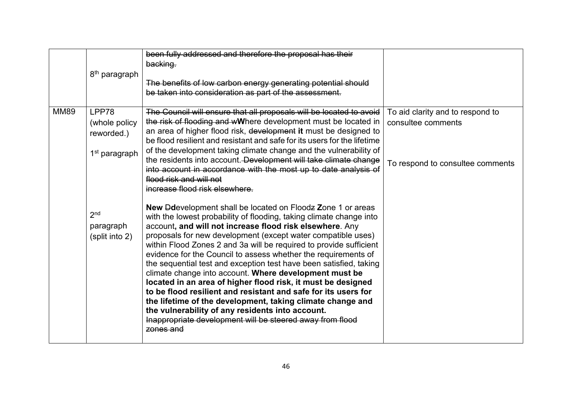|             | 8 <sup>th</sup> paragraph                      | been fully addressed and therefore the proposal has their<br>backing.<br>The benefits of low carbon energy generating potential should<br>be taken into consideration as part of the assessment.                                                                                                                                                                                                                                                                                                                                                                                                                                                                                                                                                                                                                                                                            |                                  |
|-------------|------------------------------------------------|-----------------------------------------------------------------------------------------------------------------------------------------------------------------------------------------------------------------------------------------------------------------------------------------------------------------------------------------------------------------------------------------------------------------------------------------------------------------------------------------------------------------------------------------------------------------------------------------------------------------------------------------------------------------------------------------------------------------------------------------------------------------------------------------------------------------------------------------------------------------------------|----------------------------------|
| <b>MM89</b> | LPP78                                          | The Council will ensure that all proposals will be located to avoid                                                                                                                                                                                                                                                                                                                                                                                                                                                                                                                                                                                                                                                                                                                                                                                                         | To aid clarity and to respond to |
|             | (whole policy<br>reworded.)                    | the risk of flooding and wWhere development must be located in<br>an area of higher flood risk, development it must be designed to<br>be flood resilient and resistant and safe for its users for the lifetime                                                                                                                                                                                                                                                                                                                                                                                                                                                                                                                                                                                                                                                              | consultee comments               |
|             | 1 <sup>st</sup> paragraph                      | of the development taking climate change and the vulnerability of<br>the residents into account. Development will take climate change<br>into account in accordance with the most up to date analysis of<br>flood risk and will not<br>increase flood risk elsewhere.                                                                                                                                                                                                                                                                                                                                                                                                                                                                                                                                                                                                       | To respond to consultee comments |
|             | 2 <sub>nd</sub><br>paragraph<br>(split into 2) | <b>New Ddevelopment shall be located on Floodz Zone 1 or areas</b><br>with the lowest probability of flooding, taking climate change into<br>account, and will not increase flood risk elsewhere. Any<br>proposals for new development (except water compatible uses)<br>within Flood Zones 2 and 3a will be required to provide sufficient<br>evidence for the Council to assess whether the requirements of<br>the sequential test and exception test have been satisfied, taking<br>climate change into account. Where development must be<br>located in an area of higher flood risk, it must be designed<br>to be flood resilient and resistant and safe for its users for<br>the lifetime of the development, taking climate change and<br>the vulnerability of any residents into account.<br>Inappropriate development will be steered away from flood<br>zones and |                                  |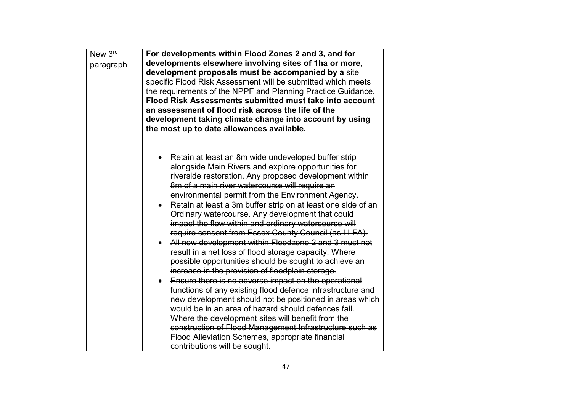| New 3rd   | For developments within Flood Zones 2 and 3, and for                      |  |
|-----------|---------------------------------------------------------------------------|--|
| paragraph | developments elsewhere involving sites of 1ha or more,                    |  |
|           | development proposals must be accompanied by a site                       |  |
|           | specific Flood Risk Assessment will be submitted which meets              |  |
|           | the requirements of the NPPF and Planning Practice Guidance.              |  |
|           | Flood Risk Assessments submitted must take into account                   |  |
|           | an assessment of flood risk across the life of the                        |  |
|           | development taking climate change into account by using                   |  |
|           | the most up to date allowances available.                                 |  |
|           |                                                                           |  |
|           |                                                                           |  |
|           | Retain at least an 8m wide undeveloped buffer strip                       |  |
|           | alongside Main Rivers and explore opportunities for                       |  |
|           | riverside restoration. Any proposed development within                    |  |
|           | 8m of a main river watercourse will require an                            |  |
|           | environmental permit from the Environment Agency.                         |  |
|           | Retain at least a 3m buffer strip on at least one side of an<br>$\bullet$ |  |
|           | Ordinary watercourse. Any development that could                          |  |
|           | impact the flow within and ordinary watercourse will                      |  |
|           | require consent from Essex County Council (as LLFA).                      |  |
|           | All new development within Floodzone 2 and 3 must not                     |  |
|           | result in a net loss of flood storage capacity. Where                     |  |
|           | possible opportunities should be sought to achieve an                     |  |
|           | increase in the provision of floodplain storage.                          |  |
|           | Ensure there is no adverse impact on the operational                      |  |
|           | functions of any existing flood defence infrastructure and                |  |
|           | new development should not be positioned in areas which                   |  |
|           | would be in an area of hazard should defences fail.                       |  |
|           | Where the development sites will benefit from the                         |  |
|           | construction of Flood Management Infrastructure such as                   |  |
|           | Flood Alleviation Schemes, appropriate financial                          |  |
|           | contributions will be sought.                                             |  |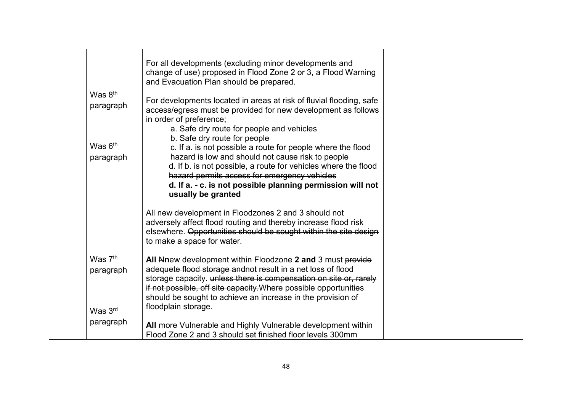|                     | For all developments (excluding minor developments and<br>change of use) proposed in Flood Zone 2 or 3, a Flood Warning<br>and Evacuation Plan should be prepared.                                                       |  |
|---------------------|--------------------------------------------------------------------------------------------------------------------------------------------------------------------------------------------------------------------------|--|
| Was 8 <sup>th</sup> |                                                                                                                                                                                                                          |  |
| paragraph           | For developments located in areas at risk of fluvial flooding, safe<br>access/egress must be provided for new development as follows<br>in order of preference:                                                          |  |
|                     | a. Safe dry route for people and vehicles                                                                                                                                                                                |  |
|                     | b. Safe dry route for people                                                                                                                                                                                             |  |
| Was $6th$           | c. If a. is not possible a route for people where the flood                                                                                                                                                              |  |
| paragraph           | hazard is low and should not cause risk to people                                                                                                                                                                        |  |
|                     | d. If b. is not possible, a route for vehicles where the flood                                                                                                                                                           |  |
|                     | hazard permits access for emergency vehicles                                                                                                                                                                             |  |
|                     | d. If a. - c. is not possible planning permission will not<br>usually be granted                                                                                                                                         |  |
|                     | All new development in Floodzones 2 and 3 should not<br>adversely affect flood routing and thereby increase flood risk<br>elsewhere. Opportunities should be sought within the site design<br>to make a space for water. |  |
| Was 7 <sup>th</sup> | All Nnew development within Floodzone 2 and 3 must provide                                                                                                                                                               |  |
| paragraph           | adequete flood storage and not result in a net loss of flood                                                                                                                                                             |  |
|                     | storage capacity. unless there is compensation on site or, rarely                                                                                                                                                        |  |
|                     | if not possible, off site capacity. Where possible opportunities                                                                                                                                                         |  |
|                     | should be sought to achieve an increase in the provision of                                                                                                                                                              |  |
| Was 3rd             | floodplain storage.                                                                                                                                                                                                      |  |
| paragraph           |                                                                                                                                                                                                                          |  |
|                     | All more Vulnerable and Highly Vulnerable development within                                                                                                                                                             |  |
|                     | Flood Zone 2 and 3 should set finished floor levels 300mm                                                                                                                                                                |  |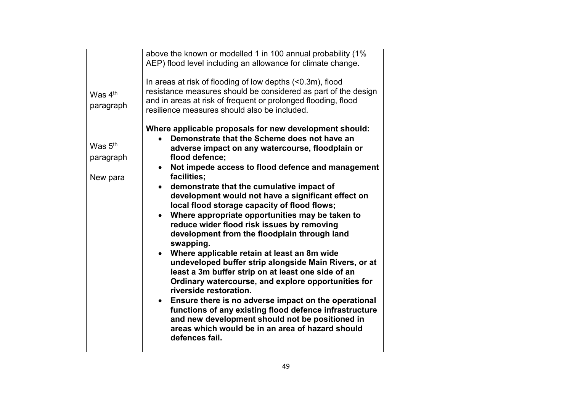|                                                                        | above the known or modelled 1 in 100 annual probability (1%                                                                                                                                                                                                                                                                                                                                                                                                                                                                                                                                                                                                                                                                                                                                                                                                                        |  |
|------------------------------------------------------------------------|------------------------------------------------------------------------------------------------------------------------------------------------------------------------------------------------------------------------------------------------------------------------------------------------------------------------------------------------------------------------------------------------------------------------------------------------------------------------------------------------------------------------------------------------------------------------------------------------------------------------------------------------------------------------------------------------------------------------------------------------------------------------------------------------------------------------------------------------------------------------------------|--|
| Was $4th$<br>paragraph<br>Was 5 <sup>th</sup><br>paragraph<br>New para | AEP) flood level including an allowance for climate change.<br>In areas at risk of flooding of low depths $(0.3m)$ , flood<br>resistance measures should be considered as part of the design<br>and in areas at risk of frequent or prolonged flooding, flood<br>resilience measures should also be included.<br>Where applicable proposals for new development should:<br>Demonstrate that the Scheme does not have an<br>adverse impact on any watercourse, floodplain or<br>flood defence;<br>Not impede access to flood defence and management<br>facilities;<br>demonstrate that the cumulative impact of<br>development would not have a significant effect on<br>local flood storage capacity of flood flows;<br>Where appropriate opportunities may be taken to<br>reduce wider flood risk issues by removing<br>development from the floodplain through land<br>swapping. |  |
|                                                                        | Where applicable retain at least an 8m wide<br>undeveloped buffer strip alongside Main Rivers, or at<br>least a 3m buffer strip on at least one side of an<br>Ordinary watercourse, and explore opportunities for<br>riverside restoration.                                                                                                                                                                                                                                                                                                                                                                                                                                                                                                                                                                                                                                        |  |
|                                                                        | Ensure there is no adverse impact on the operational<br>functions of any existing flood defence infrastructure<br>and new development should not be positioned in<br>areas which would be in an area of hazard should<br>defences fail.                                                                                                                                                                                                                                                                                                                                                                                                                                                                                                                                                                                                                                            |  |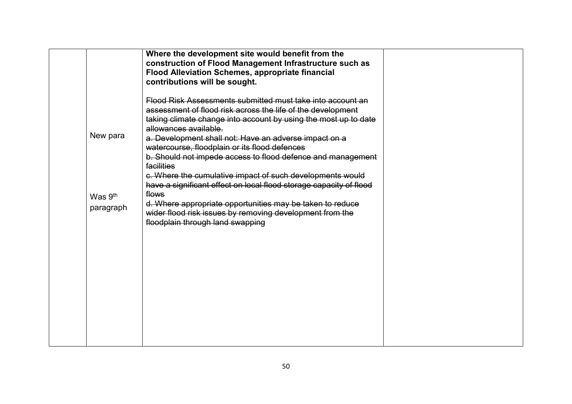|                                  | Where the development site would benefit from the<br>construction of Flood Management Infrastructure such as<br><b>Flood Alleviation Schemes, appropriate financial</b><br>contributions will be sought.                                                                                                                                                                                                                                                                                                                                        |  |
|----------------------------------|-------------------------------------------------------------------------------------------------------------------------------------------------------------------------------------------------------------------------------------------------------------------------------------------------------------------------------------------------------------------------------------------------------------------------------------------------------------------------------------------------------------------------------------------------|--|
| New para                         | Flood Risk Assessments submitted must take into account an<br>assessment of flood risk across the life of the development<br>taking climate change into account by using the most up to date<br>allowances available.<br>a. Development shall not: Have an adverse impact on a<br>watercourse, floodplain or its flood defences<br>b. Should not impede access to flood defence and management<br>facilities<br>c. Where the cumulative impact of such developments would<br>have a significant effect on local flood storage capacity of flood |  |
| Was 9 <sup>th</sup><br>paragraph | flows<br>d. Where appropriate opportunities may be taken to reduce<br>wider flood risk issues by removing development from the<br>floodplain through land swapping                                                                                                                                                                                                                                                                                                                                                                              |  |
|                                  |                                                                                                                                                                                                                                                                                                                                                                                                                                                                                                                                                 |  |
|                                  |                                                                                                                                                                                                                                                                                                                                                                                                                                                                                                                                                 |  |
|                                  |                                                                                                                                                                                                                                                                                                                                                                                                                                                                                                                                                 |  |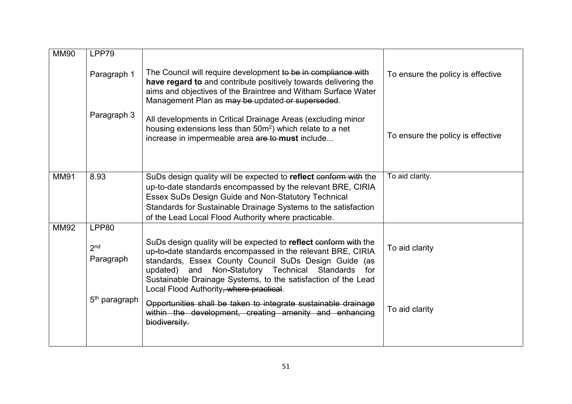| <b>MM90</b> | LPP79                                                              |                                                                                                                                                                                                                                                                                                                                                                                                                                                                                                                  |                                   |
|-------------|--------------------------------------------------------------------|------------------------------------------------------------------------------------------------------------------------------------------------------------------------------------------------------------------------------------------------------------------------------------------------------------------------------------------------------------------------------------------------------------------------------------------------------------------------------------------------------------------|-----------------------------------|
|             | Paragraph 1                                                        | The Council will require development to be in compliance with<br>have regard to and contribute positively towards delivering the<br>aims and objectives of the Braintree and Witham Surface Water<br>Management Plan as may be updated or superseded.                                                                                                                                                                                                                                                            | To ensure the policy is effective |
|             | Paragraph 3                                                        | All developments in Critical Drainage Areas (excluding minor<br>housing extensions less than 50m <sup>2</sup> ) which relate to a net<br>increase in impermeable area are to must include                                                                                                                                                                                                                                                                                                                        | To ensure the policy is effective |
| <b>MM91</b> | 8.93                                                               | SuDs design quality will be expected to reflect conform with the<br>up-to-date standards encompassed by the relevant BRE, CIRIA<br>Essex SuDs Design Guide and Non-Statutory Technical<br>Standards for Sustainable Drainage Systems to the satisfaction<br>of the Lead Local Flood Authority where practicable.                                                                                                                                                                                                 | To aid clarity.                   |
| <b>MM92</b> | LPP80<br>2 <sub>nd</sub><br>Paragraph<br>5 <sup>th</sup> paragraph | SuDs design quality will be expected to reflect conform with the<br>up-to-date standards encompassed in the relevant BRE, CIRIA<br>standards, Essex County Council SuDs Design Guide (as<br>Non-Statutory Technical Standards<br>updated)<br>and<br>for<br>Sustainable Drainage Systems, to the satisfaction of the Lead<br>Local Flood Authority, where practical.<br>Opportunities shall be taken to integrate sustainable drainage<br>within the development, creating amenity and enhancing<br>biodiversity. | To aid clarity<br>To aid clarity  |
|             |                                                                    |                                                                                                                                                                                                                                                                                                                                                                                                                                                                                                                  |                                   |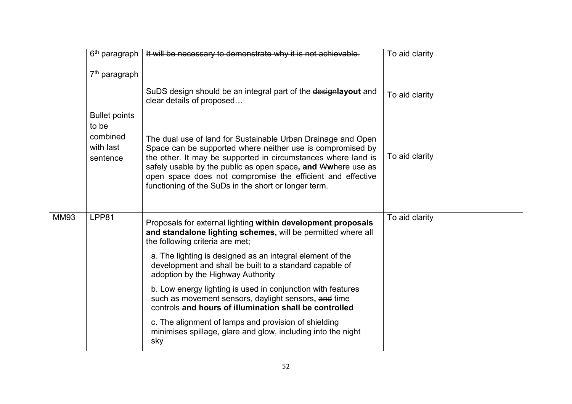|             |                                   | $6th$ paragraph   It will be necessary to demonstrate why it is not achievable.                                                                                                                                                                                                                                                                                                   | To aid clarity |
|-------------|-----------------------------------|-----------------------------------------------------------------------------------------------------------------------------------------------------------------------------------------------------------------------------------------------------------------------------------------------------------------------------------------------------------------------------------|----------------|
|             | 7 <sup>th</sup> paragraph         |                                                                                                                                                                                                                                                                                                                                                                                   |                |
|             |                                   | SuDS design should be an integral part of the designlayout and<br>clear details of proposed                                                                                                                                                                                                                                                                                       | To aid clarity |
|             | <b>Bullet points</b><br>to be     |                                                                                                                                                                                                                                                                                                                                                                                   |                |
|             | combined<br>with last<br>sentence | The dual use of land for Sustainable Urban Drainage and Open<br>Space can be supported where neither use is compromised by<br>the other. It may be supported in circumstances where land is<br>safely usable by the public as open space, and Wwhere use as<br>open space does not compromise the efficient and effective<br>functioning of the SuDs in the short or longer term. | To aid clarity |
| <b>MM93</b> | LPP81                             | Proposals for external lighting within development proposals<br>and standalone lighting schemes, will be permitted where all<br>the following criteria are met;                                                                                                                                                                                                                   | To aid clarity |
|             |                                   | a. The lighting is designed as an integral element of the<br>development and shall be built to a standard capable of<br>adoption by the Highway Authority                                                                                                                                                                                                                         |                |
|             |                                   | b. Low energy lighting is used in conjunction with features<br>such as movement sensors, daylight sensors, and time<br>controls and hours of illumination shall be controlled                                                                                                                                                                                                     |                |
|             |                                   | c. The alignment of lamps and provision of shielding<br>minimises spillage, glare and glow, including into the night<br>sky                                                                                                                                                                                                                                                       |                |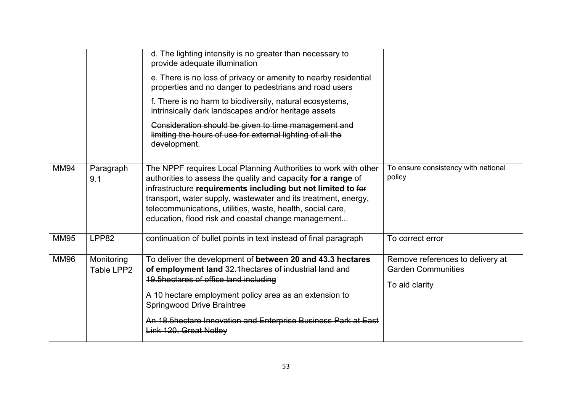|             |                          | d. The lighting intensity is no greater than necessary to<br>provide adequate illumination<br>e. There is no loss of privacy or amenity to nearby residential<br>properties and no danger to pedestrians and road users<br>f. There is no harm to biodiversity, natural ecosystems,<br>intrinsically dark landscapes and/or heritage assets<br>Consideration should be given to time management and<br>limiting the hours of use for external lighting of all the<br>development. |                                                                                 |
|-------------|--------------------------|-----------------------------------------------------------------------------------------------------------------------------------------------------------------------------------------------------------------------------------------------------------------------------------------------------------------------------------------------------------------------------------------------------------------------------------------------------------------------------------|---------------------------------------------------------------------------------|
| <b>MM94</b> | Paragraph<br>9.1         | The NPPF requires Local Planning Authorities to work with other<br>authorities to assess the quality and capacity for a range of<br>infrastructure requirements including but not limited to for<br>transport, water supply, wastewater and its treatment, energy,<br>telecommunications, utilities, waste, health, social care,<br>education, flood risk and coastal change management                                                                                           | To ensure consistency with national<br>policy                                   |
| <b>MM95</b> | LPP82                    | continuation of bullet points in text instead of final paragraph                                                                                                                                                                                                                                                                                                                                                                                                                  | To correct error                                                                |
| <b>MM96</b> | Monitoring<br>Table LPP2 | To deliver the development of between 20 and 43.3 hectares<br>of employment land 32.1 hectares of industrial land and<br>19.5hectares of office land including<br>A 10 hectare employment policy area as an extension to<br><b>Springwood Drive Braintree</b><br>An 18.5hectare Innovation and Enterprise Business Park at East<br>Link 120, Great Notley                                                                                                                         | Remove references to delivery at<br><b>Garden Communities</b><br>To aid clarity |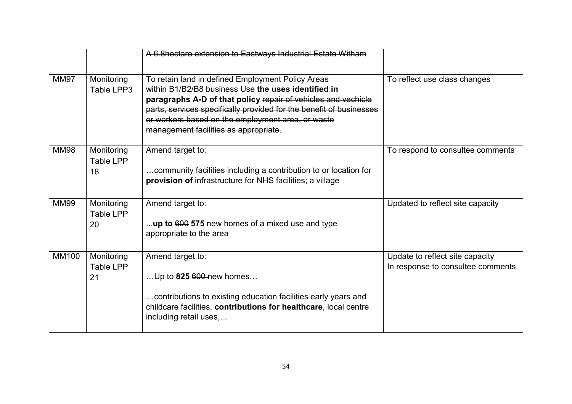|             |                               | A 6.8hectare extension to Eastways Industrial Estate Witham                                                                                                                                                                                                                                                                                    |                                                                      |
|-------------|-------------------------------|------------------------------------------------------------------------------------------------------------------------------------------------------------------------------------------------------------------------------------------------------------------------------------------------------------------------------------------------|----------------------------------------------------------------------|
| <b>MM97</b> | Monitoring<br>Table LPP3      | To retain land in defined Employment Policy Areas<br>within B1/B2/B8 business Use the uses identified in<br>paragraphs A-D of that policy repair of vehicles and vechicle<br>parts, services specifically provided for the benefit of businesses<br>or workers based on the employment area, or waste<br>management facilities as appropriate. | To reflect use class changes                                         |
| <b>MM98</b> | Monitoring<br>Table LPP<br>18 | Amend target to:<br>community facilities including a contribution to or location for<br>provision of infrastructure for NHS facilities; a village                                                                                                                                                                                              | To respond to consultee comments                                     |
| <b>MM99</b> | Monitoring<br>Table LPP<br>20 | Amend target to:<br>up to 600 575 new homes of a mixed use and type<br>appropriate to the area                                                                                                                                                                                                                                                 | Updated to reflect site capacity                                     |
| MM100       | Monitoring<br>Table LPP<br>21 | Amend target to:<br>Up to $825\,600$ -new homes<br>contributions to existing education facilities early years and<br>childcare facilities, contributions for healthcare, local centre<br>including retail uses,                                                                                                                                | Update to reflect site capacity<br>In response to consultee comments |